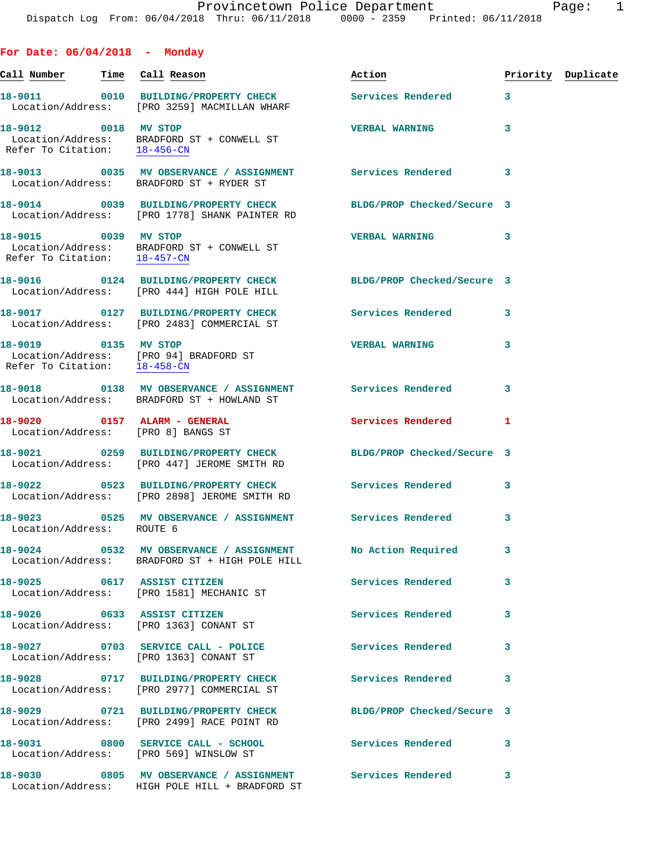**For Date: 06/04/2018 - Monday Call Number Time Call Reason Action Priority Duplicate 18-9011 0010 BUILDING/PROPERTY CHECK Services Rendered 3**  Location/Address: [PRO 3259] MACMILLAN WHARF **18-9012 0018 MV STOP VERBAL WARNING 3**  Location/Address: BRADFORD ST + CONWELL ST Refer To Citation: 18-456-CN **18-9013 0035 MV OBSERVANCE / ASSIGNMENT Services Rendered 3**  Location/Address: BRADFORD ST + RYDER ST **18-9014 0039 BUILDING/PROPERTY CHECK BLDG/PROP Checked/Secure 3**  Location/Address: [PRO 1778] SHANK PAINTER RD **18-9015 0039 MV STOP VERBAL WARNING 3**  Location/Address: BRADFORD ST + CONWELL ST Refer To Citation: 18-457-CN **18-9016 0124 BUILDING/PROPERTY CHECK BLDG/PROP Checked/Secure 3**  Location/Address: [PRO 444] HIGH POLE HILL **18-9017 0127 BUILDING/PROPERTY CHECK Services Rendered 3**  Location/Address: [PRO 2483] COMMERCIAL ST **18-9019 0135 MV STOP VERBAL WARNING 3**  Location/Address: [PRO 94] BRADFORD ST Refer To Citation: 18-458-CN **18-9018 0138 MV OBSERVANCE / ASSIGNMENT Services Rendered 3**  Location/Address: BRADFORD ST + HOWLAND ST **18-9020 0157 ALARM - GENERAL Services Rendered 1**  Location/Address: [PRO 8] BANGS ST **18-9021 0259 BUILDING/PROPERTY CHECK BLDG/PROP Checked/Secure 3**  Location/Address: [PRO 447] JEROME SMITH RD **18-9022 0523 BUILDING/PROPERTY CHECK Services Rendered 3**  Location/Address: [PRO 2898] JEROME SMITH RD **18-9023 0525 MV OBSERVANCE / ASSIGNMENT Services Rendered 3**  Location/Address: ROUTE 6 **18-9024 0532 MV OBSERVANCE / ASSIGNMENT No Action Required 3**  Location/Address: BRADFORD ST + HIGH POLE HILL **18-9025 0617 ASSIST CITIZEN Services Rendered 3**  Location/Address: [PRO 1581] MECHANIC ST **18-9026 0633 ASSIST CITIZEN Services Rendered 3**  Location/Address: [PRO 1363] CONANT ST **18-9027 0703 SERVICE CALL - POLICE Services Rendered 3**  Location/Address: [PRO 1363] CONANT ST **18-9028 0717 BUILDING/PROPERTY CHECK Services Rendered 3** 

 Location/Address: [PRO 2977] COMMERCIAL ST **18-9029 0721 BUILDING/PROPERTY CHECK BLDG/PROP Checked/Secure 3**  Location/Address: [PRO 2499] RACE POINT RD **18-9031 0800 SERVICE CALL - SCHOOL Services Rendered 3**  Location/Address: [PRO 569] WINSLOW ST 18-9030 0805 MV OBSERVANCE / ASSIGNMENT Services Rendered 3

Location/Address: HIGH POLE HILL + BRADFORD ST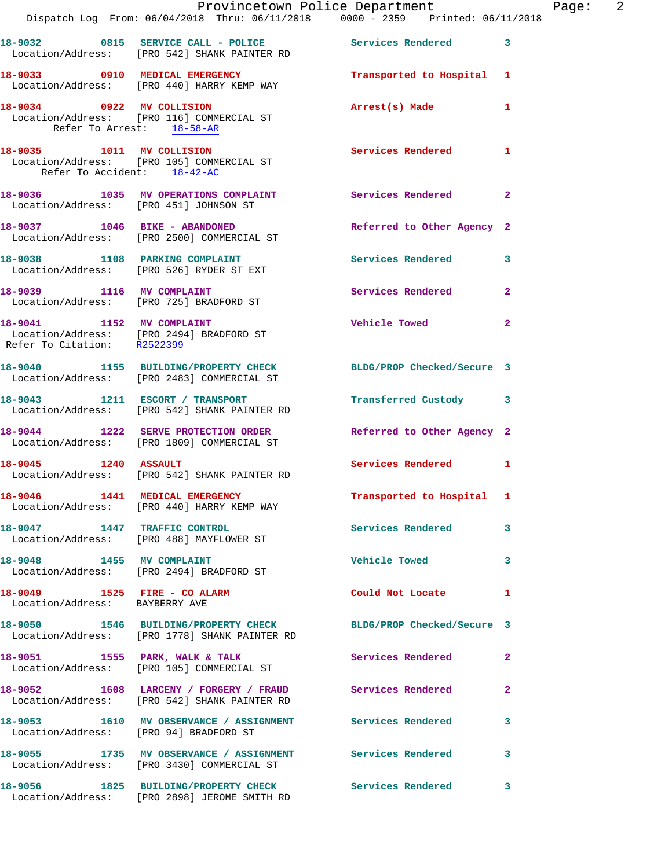|                                                                | Provincetown Police Department<br>Dispatch Log From: 06/04/2018 Thru: 06/11/2018 0000 - 2359 Printed: 06/11/2018 |                            |              |
|----------------------------------------------------------------|------------------------------------------------------------------------------------------------------------------|----------------------------|--------------|
|                                                                | 18-9032 0815 SERVICE CALL - POLICE Services Rendered<br>Location/Address: [PRO 542] SHANK PAINTER RD             |                            | 3            |
|                                                                | 18-9033 0910 MEDICAL EMERGENCY<br>Location/Address: [PRO 440] HARRY KEMP WAY                                     | Transported to Hospital    | 1            |
| Refer To Arrest: 18-58-AR                                      | 18-9034 0922 MV COLLISION<br>Location/Address: [PRO 116] COMMERCIAL ST                                           | Arrest(s) Made             | 1            |
| 18-9035 1011 MV COLLISION<br>Refer To Accident: 18-42-AC       | Location/Address: [PRO 105] COMMERCIAL ST                                                                        | <b>Services Rendered</b>   | 1            |
| Location/Address: [PRO 451] JOHNSON ST                         | 18-9036 1035 MV OPERATIONS COMPLAINT                                                                             | Services Rendered          | $\mathbf{2}$ |
|                                                                | 18-9037 1046 BIKE - ABANDONED<br>Location/Address: [PRO 2500] COMMERCIAL ST                                      | Referred to Other Agency 2 |              |
|                                                                | 18-9038 1108 PARKING COMPLAINT<br>Location/Address: [PRO 526] RYDER ST EXT                                       | <b>Services Rendered</b>   | 3            |
|                                                                | 18-9039 1116 MV COMPLAINT<br>Location/Address: [PRO 725] BRADFORD ST                                             | Services Rendered          | $\mathbf{2}$ |
| 18-9041 1152 MV COMPLAINT                                      | Location/Address: [PRO 2494] BRADFORD ST<br>Refer To Citation: R2522399                                          | <b>Vehicle Towed</b>       | $\mathbf{2}$ |
|                                                                | 18-9040 1155 BUILDING/PROPERTY CHECK<br>Location/Address: [PRO 2483] COMMERCIAL ST                               | BLDG/PROP Checked/Secure 3 |              |
|                                                                | 18-9043 1211 ESCORT / TRANSPORT<br>Location/Address: [PRO 542] SHANK PAINTER RD                                  | Transferred Custody        | 3            |
|                                                                | 18-9044 1222 SERVE PROTECTION ORDER<br>Location/Address: [PRO 1809] COMMERCIAL ST                                | Referred to Other Agency 2 |              |
| 18-9045 1240 ASSAULT                                           | Location/Address: [PRO 542] SHANK PAINTER RD                                                                     | <b>Services Rendered</b>   | 1            |
|                                                                | 18-9046 1441 MEDICAL EMERGENCY<br>Location/Address: [PRO 440] HARRY KEMP WAY                                     | Transported to Hospital 1  |              |
| 18-9047 1447 TRAFFIC CONTROL                                   | Location/Address: [PRO 488] MAYFLOWER ST                                                                         | <b>Services Rendered</b>   | 3            |
|                                                                | 18-9048 1455 MV COMPLAINT<br>Location/Address: [PRO 2494] BRADFORD ST                                            | <b>Vehicle Towed</b>       | 3            |
| 18-9049 1525 FIRE - CO ALARM<br>Location/Address: BAYBERRY AVE |                                                                                                                  | Could Not Locate           | 1            |
|                                                                | 18-9050 1546 BUILDING/PROPERTY CHECK BLDG/PROP Checked/Secure 3<br>Location/Address: [PRO 1778] SHANK PAINTER RD |                            |              |
| 18-9051 1555 PARK, WALK & TALK                                 | Location/Address: [PRO 105] COMMERCIAL ST                                                                        | Services Rendered          | $\mathbf{2}$ |
|                                                                | 18-9052 1608 LARCENY / FORGERY / FRAUD Services Rendered<br>Location/Address: [PRO 542] SHANK PAINTER RD         |                            | 2            |
|                                                                | 18-9053 1610 MV OBSERVANCE / ASSIGNMENT Services Rendered<br>Location/Address: [PRO 94] BRADFORD ST              |                            | 3            |
|                                                                | 18-9055 1735 MV OBSERVANCE / ASSIGNMENT Services Rendered<br>Location/Address: [PRO 3430] COMMERCIAL ST          |                            | 3            |
|                                                                | 18-9056 1825 BUILDING/PROPERTY CHECK                                                                             | <b>Services Rendered</b>   | 3            |

Location/Address: [PRO 2898] JEROME SMITH RD

Page: 2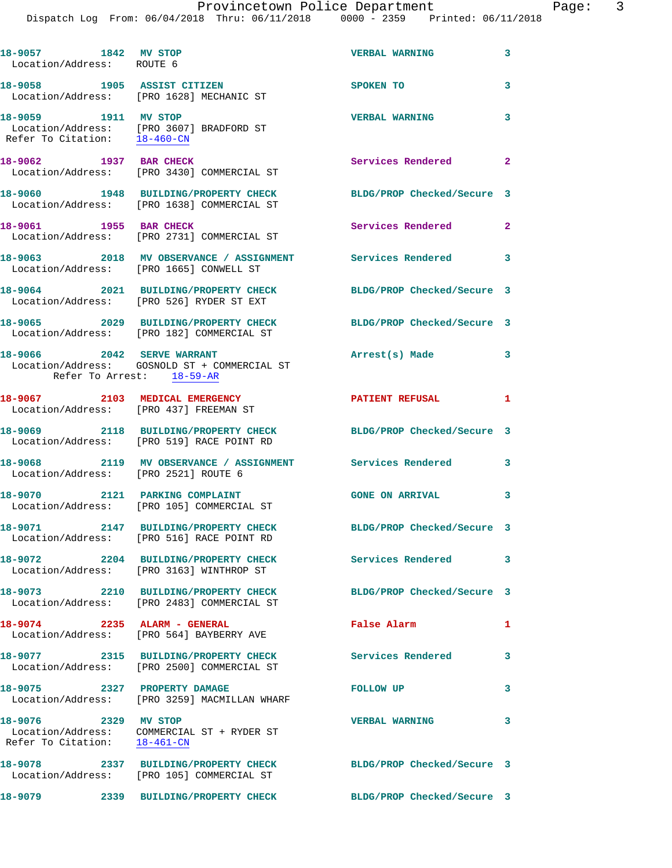| 18-9057 1842 MV STOP<br>Location/Address: ROUTE 6    |                                                                                                               | <b>VERBAL WARNING</b>      | 3              |
|------------------------------------------------------|---------------------------------------------------------------------------------------------------------------|----------------------------|----------------|
| 18-9058 1905 ASSIST CITIZEN                          | Location/Address: [PRO 1628] MECHANIC ST                                                                      | SPOKEN TO                  | 3              |
| 18-9059 1911 MV STOP                                 | Location/Address: [PRO 3607] BRADFORD ST<br>Refer To Citation: 18-460-CN                                      | <b>VERBAL WARNING</b>      | 3              |
| 18-9062 1937 BAR CHECK                               | Location/Address: [PRO 3430] COMMERCIAL ST                                                                    | Services Rendered 2        |                |
|                                                      | 18-9060 1948 BUILDING/PROPERTY CHECK<br>Location/Address: [PRO 1638] COMMERCIAL ST                            | BLDG/PROP Checked/Secure 3 |                |
| 18-9061 1955 BAR CHECK                               | Location/Address: [PRO 2731] COMMERCIAL ST                                                                    | Services Rendered          | $\overline{2}$ |
|                                                      | 18-9063 2018 MV OBSERVANCE / ASSIGNMENT Services Rendered 3<br>Location/Address: [PRO 1665] CONWELL ST        |                            |                |
|                                                      | 18-9064 2021 BUILDING/PROPERTY CHECK<br>Location/Address: [PRO 526] RYDER ST EXT                              | BLDG/PROP Checked/Secure 3 |                |
|                                                      | 18-9065 2029 BUILDING/PROPERTY CHECK<br>Location/Address: [PRO 182] COMMERCIAL ST                             | BLDG/PROP Checked/Secure 3 |                |
|                                                      | 18-9066 2042 SERVE WARRANT<br>Location/Address: GOSNOLD ST + COMMERCIAL ST<br>Refer To Arrest: 18-59-AR       | Arrest(s) Made             | 3              |
| 18-9067 2103 MEDICAL EMERGENCY                       | Location/Address: [PRO 437] FREEMAN ST                                                                        | <b>PATIENT REFUSAL</b>     | $\mathbf{1}$   |
|                                                      | 18-9069 2118 BUILDING/PROPERTY CHECK<br>Location/Address: [PRO 519] RACE POINT RD                             | BLDG/PROP Checked/Secure 3 |                |
| Location/Address: [PRO 2521] ROUTE 6                 | 18-9068 2119 MV OBSERVANCE / ASSIGNMENT                                                                       | <b>Services Rendered</b>   | 3              |
|                                                      | 18-9070 2121 PARKING COMPLAINT<br>Location/Address: [PRO 105] COMMERCIAL ST                                   | <b>GONE ON ARRIVAL</b>     | 3              |
| 18-9071 2002                                         | 2147 BUILDING/PROPERTY CHECK<br>Location/Address: [PRO 516] RACE POINT RD                                     | BLDG/PROP Checked/Secure 3 |                |
|                                                      | 18-9072 2204 BUILDING/PROPERTY CHECK<br>Location/Address: [PRO 3163] WINTHROP ST                              | Services Rendered          | 3              |
|                                                      | 18-9073 2210 BUILDING/PROPERTY CHECK BLDG/PROP Checked/Secure 3<br>Location/Address: [PRO 2483] COMMERCIAL ST |                            |                |
|                                                      | 18-9074 2235 ALARM - GENERAL<br>Location/Address: [PRO 564] BAYBERRY AVE                                      | False Alarm                | 1              |
|                                                      | 18-9077 2315 BUILDING/PROPERTY CHECK<br>Location/Address: [PRO 2500] COMMERCIAL ST                            | Services Rendered          | 3              |
|                                                      | 18-9075 2327 PROPERTY DAMAGE<br>Location/Address: [PRO 3259] MACMILLAN WHARF                                  | FOLLOW UP                  | 3              |
| 18-9076 2329 MV STOP<br>Refer To Citation: 18-461-CN | Location/Address: COMMERCIAL ST + RYDER ST                                                                    | <b>VERBAL WARNING</b>      | 3              |
|                                                      | 18-9078 2337 BUILDING/PROPERTY CHECK<br>Location/Address: [PRO 105] COMMERCIAL ST                             | BLDG/PROP Checked/Secure 3 |                |
|                                                      | 18-9079 2339 BUILDING/PROPERTY CHECK                                                                          | BLDG/PROP Checked/Secure 3 |                |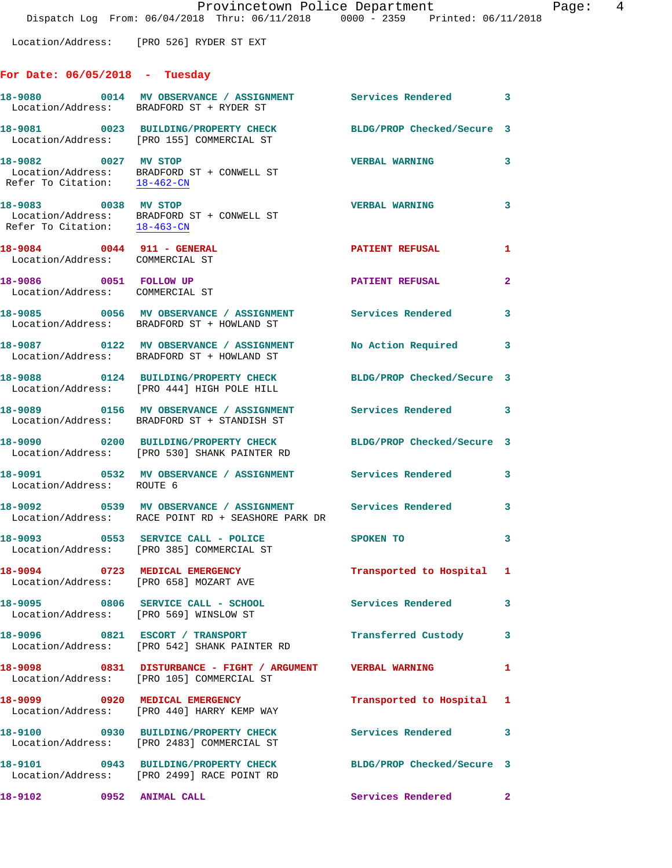Location/Address: [PRO 526] RYDER ST EXT

## **For Date: 06/05/2018 - Tuesday**

|                                                               | 18-9080 0014 MV OBSERVANCE / ASSIGNMENT<br>Location/Address: BRADFORD ST + RYDER ST                               | <b>Services Rendered</b> 3 |                            |
|---------------------------------------------------------------|-------------------------------------------------------------------------------------------------------------------|----------------------------|----------------------------|
|                                                               | 18-9081 0023 BUILDING/PROPERTY CHECK<br>Location/Address: [PRO 155] COMMERCIAL ST                                 | BLDG/PROP Checked/Secure 3 |                            |
| 18-9082 0027 MV STOP                                          | Location/Address: BRADFORD ST + CONWELL ST<br>Refer To Citation: $\frac{18-462-CN}{18-462-CN}$                    | <b>VERBAL WARNING</b>      | $\mathbf{3}$               |
| 18-9083 0038 MV STOP                                          | Location/Address: BRADFORD ST + CONWELL ST<br>Refer To Citation: 18-463-CN                                        | <b>VERBAL WARNING</b>      | $\mathbf{3}$               |
| 18-9084 0044 911 - GENERAL<br>Location/Address: COMMERCIAL ST |                                                                                                                   | <b>PATIENT REFUSAL</b>     | 1                          |
| 18-9086 0051 FOLLOW UP<br>Location/Address: COMMERCIAL ST     |                                                                                                                   | <b>PATIENT REFUSAL</b>     | $\mathbf{2}$               |
|                                                               | 18-9085 0056 MV OBSERVANCE / ASSIGNMENT<br>Location/Address: BRADFORD ST + HOWLAND ST                             | Services Rendered          | $\overline{\phantom{a}}$ 3 |
|                                                               | 18-9087 0122 MV OBSERVANCE / ASSIGNMENT<br>Location/Address: BRADFORD ST + HOWLAND ST                             | No Action Required         | $\overline{\mathbf{3}}$    |
|                                                               | 18-9088 0124 BUILDING/PROPERTY CHECK<br>Location/Address: [PRO 444] HIGH POLE HILL                                | BLDG/PROP Checked/Secure 3 |                            |
|                                                               | 18-9089 0156 MV OBSERVANCE / ASSIGNMENT<br>Location/Address: BRADFORD ST + STANDISH ST                            | Services Rendered 3        |                            |
|                                                               | 18-9090 0200 BUILDING/PROPERTY CHECK<br>Location/Address: [PRO 530] SHANK PAINTER RD                              | BLDG/PROP Checked/Secure 3 |                            |
| Location/Address: ROUTE 6                                     | 18-9091 0532 MV OBSERVANCE / ASSIGNMENT Services Rendered                                                         |                            | 3                          |
|                                                               | 18-9092 0539 MV OBSERVANCE / ASSIGNMENT Services Rendered 3<br>Location/Address: RACE POINT RD + SEASHORE PARK DR |                            |                            |
|                                                               | 18-9093 0553 SERVICE CALL - POLICE<br>Location/Address: [PRO 385] COMMERCIAL ST                                   | SPOKEN TO                  | 3                          |
| 18-9094 0723 MEDICAL EMERGENCY                                | Location/Address: [PRO 658] MOZART AVE                                                                            | Transported to Hospital 1  |                            |
| Location/Address: [PRO 569] WINSLOW ST                        | $18-9095$ 0806 SERVICE CALL - SCHOOL                                                                              | Services Rendered          | $\mathbf{3}$               |
|                                                               | 18-9096 0821 ESCORT / TRANSPORT<br>Location/Address: [PRO 542] SHANK PAINTER RD                                   | Transferred Custody        | 3                          |
|                                                               | 18-9098 0831 DISTURBANCE - FIGHT / ARGUMENT VERBAL WARNING<br>Location/Address: [PRO 105] COMMERCIAL ST           |                            | 1                          |
|                                                               | 18-9099 0920 MEDICAL EMERGENCY<br>Location/Address: [PRO 440] HARRY KEMP WAY                                      | Transported to Hospital 1  |                            |
|                                                               | 18-9100 0930 BUILDING/PROPERTY CHECK<br>Location/Address: [PRO 2483] COMMERCIAL ST                                | Services Rendered 3        |                            |
|                                                               | 18-9101 0943 BUILDING/PROPERTY CHECK<br>Location/Address: [PRO 2499] RACE POINT RD                                | BLDG/PROP Checked/Secure 3 |                            |
|                                                               |                                                                                                                   | Services Rendered          | $\mathbf{2}$               |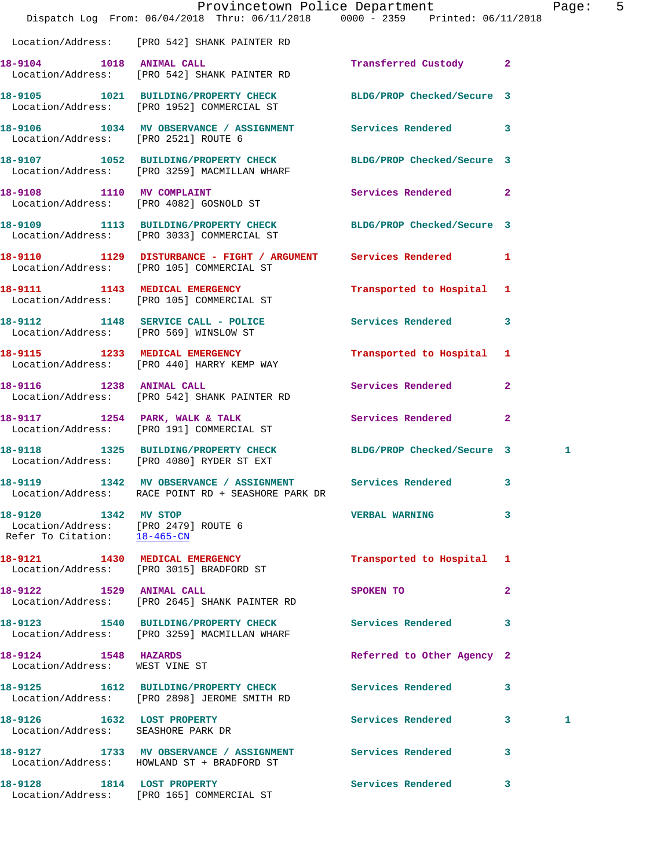|                                                                                              | Provincetown Police Department<br>Dispatch Log From: 06/04/2018 Thru: 06/11/2018 0000 - 2359 Printed: 06/11/2018 |                                   | 5<br>Page: |
|----------------------------------------------------------------------------------------------|------------------------------------------------------------------------------------------------------------------|-----------------------------------|------------|
|                                                                                              | Location/Address: [PRO 542] SHANK PAINTER RD                                                                     |                                   |            |
|                                                                                              | 18-9104 1018 ANIMAL CALL<br>Location/Address: [PRO 542] SHANK PAINTER RD                                         | Transferred Custody 2             |            |
|                                                                                              | 18-9105 1021 BUILDING/PROPERTY CHECK BLDG/PROP Checked/Secure 3<br>Location/Address: [PRO 1952] COMMERCIAL ST    |                                   |            |
| Location/Address: [PRO 2521] ROUTE 6                                                         | 18-9106 1034 MV OBSERVANCE / ASSIGNMENT Services Rendered 3                                                      |                                   |            |
|                                                                                              | 18-9107 1052 BUILDING/PROPERTY CHECK BLDG/PROP Checked/Secure 3<br>Location/Address: [PRO 3259] MACMILLAN WHARF  |                                   |            |
|                                                                                              | 18-9108 1110 MV COMPLAINT<br>Location/Address: [PRO 4082] GOSNOLD ST                                             | Services Rendered 2               |            |
|                                                                                              | 18-9109 1113 BUILDING/PROPERTY CHECK BLDG/PROP Checked/Secure 3<br>Location/Address: [PRO 3033] COMMERCIAL ST    |                                   |            |
|                                                                                              | 18-9110 1129 DISTURBANCE - FIGHT / ARGUMENT Services Rendered 1<br>Location/Address: [PRO 105] COMMERCIAL ST     |                                   |            |
|                                                                                              | 18-9111 1143 MEDICAL EMERGENCY<br>Location/Address: [PRO 105] COMMERCIAL ST                                      | Transported to Hospital 1         |            |
|                                                                                              | 18-9112 1148 SERVICE CALL - POLICE<br>Location/Address: [PRO 569] WINSLOW ST                                     | Services Rendered 3               |            |
|                                                                                              | 18-9115 1233 MEDICAL EMERGENCY<br>Location/Address: [PRO 440] HARRY KEMP WAY                                     | Transported to Hospital 1         |            |
|                                                                                              | 18-9116 1238 ANIMAL CALL<br>Location/Address: [PRO 542] SHANK PAINTER RD                                         | Services Rendered 2               |            |
|                                                                                              | 18-9117 1254 PARK, WALK & TALK<br>Location/Address: [PRO 191] COMMERCIAL ST                                      | Services Rendered<br>$\mathbf{2}$ |            |
|                                                                                              | 18-9118 1325 BUILDING/PROPERTY CHECK BLDG/PROP Checked/Secure 3<br>Location/Address: [PRO 4080] RYDER ST EXT     |                                   | 1          |
|                                                                                              | 18-9119 1342 MV OBSERVANCE / ASSIGNMENT Services Rendered<br>Location/Address: RACE POINT RD + SEASHORE PARK DR  | 3                                 |            |
| 18-9120 1342 MV STOP<br>Location/Address: [PRO 2479] ROUTE 6<br>Refer To Citation: 18-465-CN |                                                                                                                  | <b>VERBAL WARNING</b><br>3        |            |
|                                                                                              | 18-9121 1430 MEDICAL EMERGENCY<br>Location/Address: [PRO 3015] BRADFORD ST                                       | Transported to Hospital 1         |            |
| 18-9122 1529 ANIMAL CALL                                                                     | Location/Address: [PRO 2645] SHANK PAINTER RD                                                                    | $\mathbf{2}$<br>SPOKEN TO         |            |
|                                                                                              | 18-9123 1540 BUILDING/PROPERTY CHECK Services Rendered 3<br>Location/Address: [PRO 3259] MACMILLAN WHARF         |                                   |            |
| 18-9124 1548 HAZARDS<br>Location/Address: WEST VINE ST                                       |                                                                                                                  | Referred to Other Agency 2        |            |
|                                                                                              | 18-9125 1612 BUILDING/PROPERTY CHECK Services Rendered<br>Location/Address: [PRO 2898] JEROME SMITH RD           | 3                                 |            |
| 18-9126 1632 LOST PROPERTY<br>Location/Address: SEASHORE PARK DR                             |                                                                                                                  | Services Rendered 3               | 1          |
|                                                                                              | 18-9127 1733 MV OBSERVANCE / ASSIGNMENT Services Rendered<br>Location/Address: HOWLAND ST + BRADFORD ST          | 3                                 |            |
| 18-9128 1814 LOST PROPERTY                                                                   |                                                                                                                  | Services Rendered 3               |            |

Location/Address: [PRO 165] COMMERCIAL ST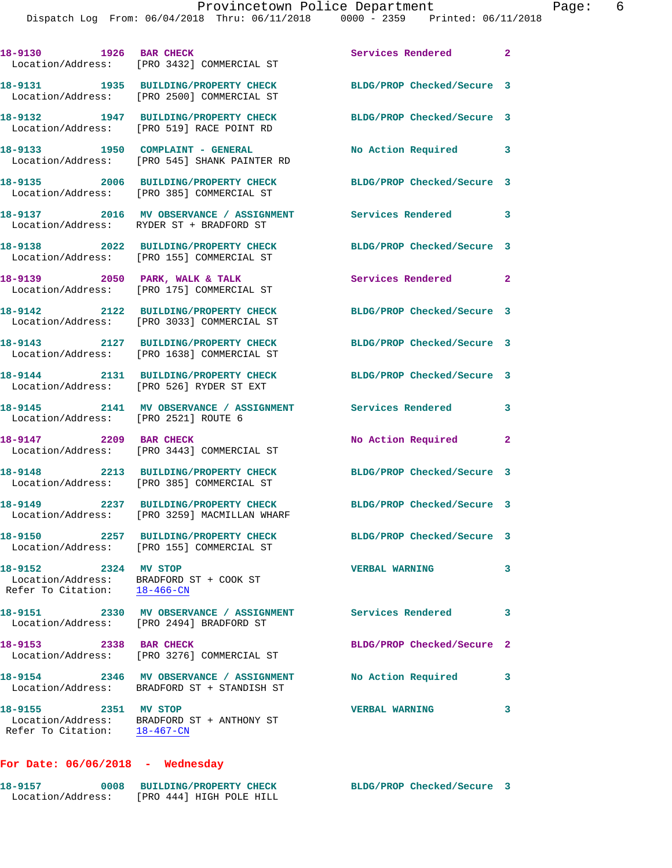|                                                      | 18-9130 1926 BAR CHECK<br>Location/Address: [PRO 3432] COMMERCIAL ST                   | <b>Services Rendered</b>   | $\mathbf{2}$               |
|------------------------------------------------------|----------------------------------------------------------------------------------------|----------------------------|----------------------------|
|                                                      | 18-9131 1935 BUILDING/PROPERTY CHECK<br>Location/Address: [PRO 2500] COMMERCIAL ST     | BLDG/PROP Checked/Secure 3 |                            |
|                                                      | 18-9132 1947 BUILDING/PROPERTY CHECK<br>Location/Address: [PRO 519] RACE POINT RD      | BLDG/PROP Checked/Secure 3 |                            |
|                                                      | 18-9133 1950 COMPLAINT - GENERAL<br>Location/Address: [PRO 545] SHANK PAINTER RD       | No Action Required 3       |                            |
|                                                      | 18-9135 2006 BUILDING/PROPERTY CHECK<br>Location/Address: [PRO 385] COMMERCIAL ST      | BLDG/PROP Checked/Secure 3 |                            |
|                                                      | 18-9137 2016 MV OBSERVANCE / ASSIGNMENT<br>Location/Address: RYDER ST + BRADFORD ST    | Services Rendered 3        |                            |
|                                                      | 18-9138 2022 BUILDING/PROPERTY CHECK<br>Location/Address: [PRO 155] COMMERCIAL ST      | BLDG/PROP Checked/Secure 3 |                            |
|                                                      | 18-9139 2050 PARK, WALK & TALK<br>Location/Address: [PRO 175] COMMERCIAL ST            | Services Rendered          | $\overline{\phantom{0}}$ 2 |
|                                                      | 18-9142 2122 BUILDING/PROPERTY CHECK<br>Location/Address: [PRO 3033] COMMERCIAL ST     | BLDG/PROP Checked/Secure 3 |                            |
|                                                      | 18-9143 2127 BUILDING/PROPERTY CHECK<br>Location/Address: [PRO 1638] COMMERCIAL ST     | BLDG/PROP Checked/Secure 3 |                            |
|                                                      | 18-9144 2131 BUILDING/PROPERTY CHECK<br>Location/Address: [PRO 526] RYDER ST EXT       | BLDG/PROP Checked/Secure 3 |                            |
| Location/Address: [PRO 2521] ROUTE 6                 | 18-9145 2141 MV OBSERVANCE / ASSIGNMENT                                                | <b>Services Rendered</b>   | 3                          |
| 18-9147 2209 BAR CHECK                               | Location/Address: [PRO 3443] COMMERCIAL ST                                             | No Action Required 2       |                            |
|                                                      | 18-9148 2213 BUILDING/PROPERTY CHECK<br>Location/Address: [PRO 385] COMMERCIAL ST      | BLDG/PROP Checked/Secure 3 |                            |
|                                                      | 18-9149 2237 BUILDING/PROPERTY CHECK<br>Location/Address: [PRO 3259] MACMILLAN WHARF   | BLDG/PROP Checked/Secure 3 |                            |
| 18-9150                                              | 2257 BUILDING/PROPERTY CHECK<br>Location/Address: [PRO 155] COMMERCIAL ST              | BLDG/PROP Checked/Secure 3 |                            |
| 18-9152 2324 MV STOP<br>Refer To Citation: 18-466-CN | Location/Address: BRADFORD ST + COOK ST                                                | <b>VERBAL WARNING</b>      | 3                          |
|                                                      | 18-9151 2330 MV OBSERVANCE / ASSIGNMENT<br>Location/Address: [PRO 2494] BRADFORD ST    | <b>Services Rendered</b>   | 3                          |
| 18-9153 2338 BAR CHECK                               | Location/Address: [PRO 3276] COMMERCIAL ST                                             | BLDG/PROP Checked/Secure 2 |                            |
|                                                      | 18-9154 2346 MV OBSERVANCE / ASSIGNMENT<br>Location/Address: BRADFORD ST + STANDISH ST | No Action Required         | 3                          |
| 18-9155 2351 MV STOP                                 | Location/Address: BRADFORD ST + ANTHONY ST<br>Refer To Citation: 18-467-CN             | <b>VERBAL WARNING</b>      | 3                          |

**For Date: 06/06/2018 - Wednesday**

| 18-9157           | 0008 BUILDING/PROPERTY CHECK | BLDG/PROP Checked/Secure 3 |  |
|-------------------|------------------------------|----------------------------|--|
| Location/Address: | FPRO 4441 HIGH POLE HILL     |                            |  |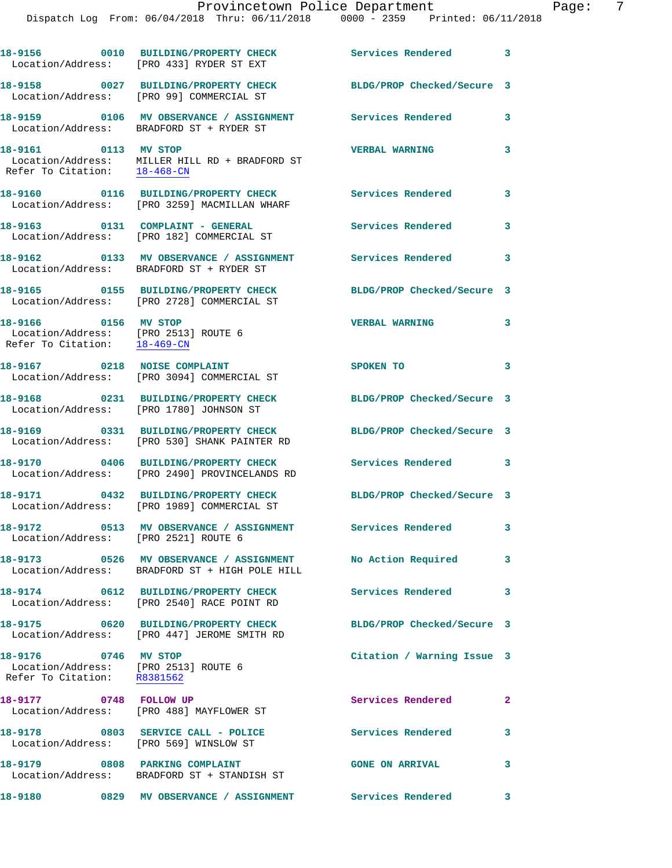|                                                                                              | 18-9156 0010 BUILDING/PROPERTY CHECK<br>Location/Address: [PRO 433] RYDER ST EXT                               | <b>Services Rendered</b>   | $\overline{\phantom{a}}$ 3 |
|----------------------------------------------------------------------------------------------|----------------------------------------------------------------------------------------------------------------|----------------------------|----------------------------|
|                                                                                              | 18-9158 0027 BUILDING/PROPERTY CHECK<br>Location/Address: [PRO 99] COMMERCIAL ST                               | BLDG/PROP Checked/Secure 3 |                            |
|                                                                                              | 18-9159 0106 MV OBSERVANCE / ASSIGNMENT<br>Location/Address: BRADFORD ST + RYDER ST                            | <b>Services Rendered</b>   | 3                          |
| 18-9161 0113 MV STOP                                                                         | Location/Address: MILLER HILL RD + BRADFORD ST<br>Refer To Citation: 18-468-CN                                 | <b>VERBAL WARNING</b>      | 3                          |
|                                                                                              | 18-9160 0116 BUILDING/PROPERTY CHECK<br>Location/Address: [PRO 3259] MACMILLAN WHARF                           | Services Rendered          | 3                          |
| 18-9163 0131 COMPLAINT - GENERAL                                                             | Location/Address: [PRO 182] COMMERCIAL ST                                                                      | Services Rendered          | 3                          |
|                                                                                              | 18-9162 0133 MV OBSERVANCE / ASSIGNMENT<br>Location/Address: BRADFORD ST + RYDER ST                            | Services Rendered          | 3                          |
|                                                                                              | 18-9165 0155 BUILDING/PROPERTY CHECK<br>Location/Address: [PRO 2728] COMMERCIAL ST                             | BLDG/PROP Checked/Secure 3 |                            |
| 18-9166 0156 MV STOP<br>Location/Address: [PRO 2513] ROUTE 6<br>Refer To Citation: 18-469-CN |                                                                                                                | <b>VERBAL WARNING</b>      | 3                          |
|                                                                                              | 18-9167 0218 NOISE COMPLAINT<br>Location/Address: [PRO 3094] COMMERCIAL ST                                     | SPOKEN TO                  | 3                          |
| 18-9168                                                                                      | 0231 BUILDING/PROPERTY CHECK<br>Location/Address: [PRO 1780] JOHNSON ST                                        | BLDG/PROP Checked/Secure 3 |                            |
|                                                                                              | 18-9169 0331 BUILDING/PROPERTY CHECK<br>Location/Address: [PRO 530] SHANK PAINTER RD                           | BLDG/PROP Checked/Secure 3 |                            |
|                                                                                              | 18-9170 0406 BUILDING/PROPERTY CHECK<br>Location/Address: [PRO 2490] PROVINCELANDS RD                          | Services Rendered 3        |                            |
|                                                                                              | 18-9171 0432 BUILDING/PROPERTY CHECK<br>Location/Address: [PRO 1989] COMMERCIAL ST                             | BLDG/PROP Checked/Secure 3 |                            |
| Location/Address: [PRO 2521] ROUTE 6                                                         | 18-9172 0513 MV OBSERVANCE / ASSIGNMENT                                                                        | <b>Services Rendered</b>   |                            |
|                                                                                              | 18-9173 0526 MV OBSERVANCE / ASSIGNMENT No Action Required 3<br>Location/Address: BRADFORD ST + HIGH POLE HILL |                            |                            |
|                                                                                              | 18-9174 0612 BUILDING/PROPERTY CHECK<br>Location/Address: [PRO 2540] RACE POINT RD                             | Services Rendered 3        |                            |
|                                                                                              | 18-9175 0620 BUILDING/PROPERTY CHECK<br>Location/Address: [PRO 447] JEROME SMITH RD                            | BLDG/PROP Checked/Secure 3 |                            |
| 18-9176 0746 MV STOP<br>Location/Address: [PRO 2513] ROUTE 6<br>Refer To Citation: R8381562  |                                                                                                                | Citation / Warning Issue 3 |                            |
| 18-9177 0748 FOLLOW UP                                                                       | Location/Address: [PRO 488] MAYFLOWER ST                                                                       | Services Rendered          | $\mathbf{2}$               |
| Location/Address: [PRO 569] WINSLOW ST                                                       | 18-9178 0803 SERVICE CALL - POLICE                                                                             | <b>Services Rendered</b>   | 3                          |
|                                                                                              | 18-9179 0808 PARKING COMPLAINT<br>Location/Address: BRADFORD ST + STANDISH ST                                  | <b>GONE ON ARRIVAL</b>     | 3                          |
|                                                                                              | 18-9180 6829 MV OBSERVANCE / ASSIGNMENT Services Rendered 3                                                    |                            |                            |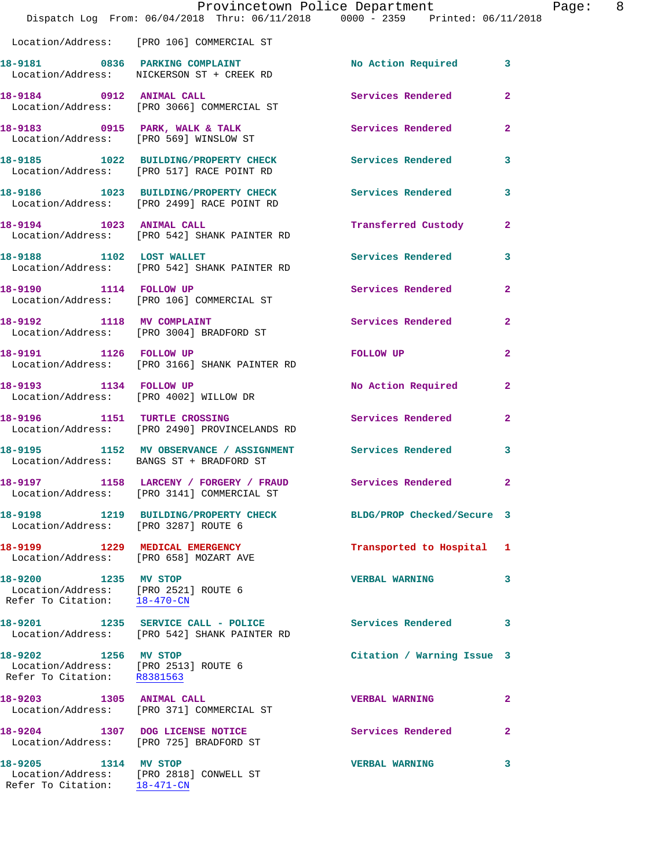|                                                                                                           | Provincetown Police Department<br>Dispatch Log From: 06/04/2018 Thru: 06/11/2018 0000 - 2359 Printed: 06/11/2018 |                            |                |
|-----------------------------------------------------------------------------------------------------------|------------------------------------------------------------------------------------------------------------------|----------------------------|----------------|
|                                                                                                           | Location/Address: [PRO 106] COMMERCIAL ST                                                                        |                            |                |
|                                                                                                           | 18-9181 0836 PARKING COMPLAINT<br>Location/Address: NICKERSON ST + CREEK RD                                      | No Action Required         | 3              |
|                                                                                                           | 18-9184 0912 ANIMAL CALL<br>Location/Address: [PRO 3066] COMMERCIAL ST                                           | Services Rendered          | $\overline{2}$ |
|                                                                                                           | 18-9183 0915 PARK, WALK & TALK<br>Location/Address: [PRO 569] WINSLOW ST                                         | Services Rendered          | $\mathbf{2}$   |
|                                                                                                           | 18-9185 1022 BUILDING/PROPERTY CHECK<br>Location/Address: [PRO 517] RACE POINT RD                                | <b>Services Rendered</b>   | 3              |
|                                                                                                           | 18-9186 1023 BUILDING/PROPERTY CHECK<br>Location/Address: [PRO 2499] RACE POINT RD                               | <b>Services Rendered</b>   | 3              |
| 18-9194 1023 ANIMAL CALL                                                                                  | Location/Address: [PRO 542] SHANK PAINTER RD                                                                     | Transferred Custody        | $\mathbf{2}$   |
| 18-9188 1102 LOST WALLET                                                                                  | Location/Address: [PRO 542] SHANK PAINTER RD                                                                     | Services Rendered          | 3              |
| 18-9190 1114 FOLLOW UP                                                                                    | Location/Address: [PRO 106] COMMERCIAL ST                                                                        | Services Rendered          | $\overline{2}$ |
|                                                                                                           | 18-9192 1118 MV COMPLAINT<br>Location/Address: [PRO 3004] BRADFORD ST                                            | Services Rendered          | $\mathbf{2}$   |
| 18-9191 1126 FOLLOW UP                                                                                    | Location/Address: [PRO 3166] SHANK PAINTER RD                                                                    | <b>FOLLOW UP</b>           | $\overline{2}$ |
| 18-9193 1134 FOLLOW UP                                                                                    | Location/Address: [PRO 4002] WILLOW DR                                                                           | No Action Required         | 2              |
| 18-9196 1151 TURTLE CROSSING                                                                              | Location/Address: [PRO 2490] PROVINCELANDS RD                                                                    | Services Rendered          | $\mathbf{2}$   |
|                                                                                                           | 18-9195 1152 MV OBSERVANCE / ASSIGNMENT Services Rendered<br>Location/Address: BANGS ST + BRADFORD ST            |                            | 3              |
|                                                                                                           | 18-9197 1158 LARCENY / FORGERY / FRAUD<br>Location/Address: [PRO 3141] COMMERCIAL ST                             | <b>Services Rendered</b>   |                |
| Location/Address: [PRO 3287] ROUTE 6                                                                      | 18-9198 1219 BUILDING/PROPERTY CHECK                                                                             | BLDG/PROP Checked/Secure 3 |                |
| 18-9199 1229 MEDICAL EMERGENCY<br>Location/Address: [PRO 658] MOZART AVE                                  |                                                                                                                  | Transported to Hospital    | 1              |
| 18-9200 1235 MV STOP<br>Location/Address: [PRO 2521] ROUTE 6<br>Refer To Citation: $\frac{18-470-CN}{\ }$ |                                                                                                                  | <b>VERBAL WARNING</b>      | 3              |
| 18-9201                                                                                                   | 1235 SERVICE CALL - POLICE Services Rendered<br>Location/Address: [PRO 542] SHANK PAINTER RD                     |                            | 3              |
| 18-9202 1256 MV STOP<br>Location/Address: [PRO 2513] ROUTE 6<br>Refer To Citation: R8381563               |                                                                                                                  | Citation / Warning Issue 3 |                |
| 18-9203 1305 ANIMAL CALL                                                                                  | Location/Address: [PRO 371] COMMERCIAL ST                                                                        | <b>VERBAL WARNING</b>      | $\mathbf{2}$   |
| 18-9204 1307 DOG LICENSE NOTICE                                                                           | Location/Address: [PRO 725] BRADFORD ST                                                                          | <b>Services Rendered</b>   | 2              |
| 18-9205 1314 MV STOP                                                                                      | Location/Address: [PRO 2818] CONWELL ST                                                                          | <b>VERBAL WARNING</b>      | 3              |

Refer To Citation: 18-471-CN

Page: 8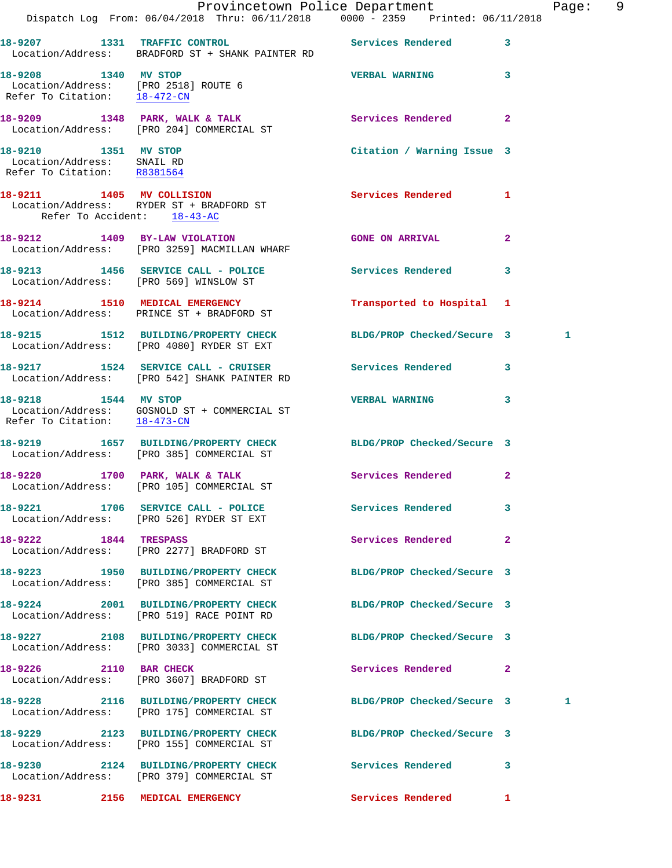|                                                                                   | Provincetown Police Department                                                                                                                          |                            |                | Page: 9 |  |
|-----------------------------------------------------------------------------------|---------------------------------------------------------------------------------------------------------------------------------------------------------|----------------------------|----------------|---------|--|
|                                                                                   | Dispatch Log From: 06/04/2018 Thru: 06/11/2018 0000 - 2359 Printed: 06/11/2018                                                                          |                            |                |         |  |
|                                                                                   | 18-9207 1331 TRAFFIC CONTROL Services Rendered 3<br>Location/Address: BRADFORD ST + SHANK PAINTER RD                                                    |                            |                |         |  |
| 18-9208 1340 MV STOP                                                              | Location/Address: [PRO 2518] ROUTE 6<br>Refer To Citation: 18-472-CN                                                                                    | <b>VERBAL WARNING 3</b>    |                |         |  |
|                                                                                   | 18-9209 1348 PARK, WALK & TALK 6 Services Rendered 2<br>Location/Address: [PRO 204] COMMERCIAL ST                                                       |                            |                |         |  |
| 18-9210 1351 MV STOP<br>Location/Address: SNAIL RD<br>Refer To Citation: R8381564 |                                                                                                                                                         | Citation / Warning Issue 3 |                |         |  |
| Refer To Accident: 18-43-AC                                                       | 18-9211 1405 MV COLLISION<br>Location/Address: RYDER ST + BRADFORD ST                                                                                   | Services Rendered 1        |                |         |  |
|                                                                                   | 18-9212 1409 BY-LAW VIOLATION<br>Location/Address: [PRO 3259] MACMILLAN WHARF                                                                           | GONE ON ARRIVAL 2          |                |         |  |
|                                                                                   | 18-9213 1456 SERVICE CALL - POLICE Services Rendered<br>Location/Address: [PRO 569] WINSLOW ST                                                          |                            | $\mathbf{3}$   |         |  |
|                                                                                   | 18-9214 1510 MEDICAL EMERGENCY<br>Location/Address: PRINCE ST + BRADFORD ST                                                                             | Transported to Hospital 1  |                |         |  |
|                                                                                   | 18-9215 1512 BUILDING/PROPERTY CHECK BLDG/PROP Checked/Secure 3<br>Location/Address: [PRO 4080] RYDER ST EXT                                            |                            |                | 1       |  |
|                                                                                   | 18-9217 1524 SERVICE CALL - CRUISER Services Rendered 3<br>Location/Address: [PRO 542] SHANK PAINTER RD                                                 |                            |                |         |  |
|                                                                                   | 18-9218 1544 MV STOP<br>$\begin{tabular}{ll} Location/Address: & GOSNOLD ST + COMMERCIAL ST\\ Refer To Citation: & \underline{18-473-CN} \end{tabular}$ | VERBAL WARNING 3           |                |         |  |
|                                                                                   | 18-9219 1657 BUILDING/PROPERTY CHECK BLDG/PROP Checked/Secure 3<br>Location/Address: [PRO 385] COMMERCIAL ST                                            |                            |                |         |  |
|                                                                                   | 18-9220 1700 PARK, WALK & TALK Services Rendered 2<br>Location/Address: [PRO 105] COMMERCIAL ST                                                         |                            |                |         |  |
|                                                                                   | 18-9221 1706 SERVICE CALL - POLICE<br>Location/Address: [PRO 526] RYDER ST EXT                                                                          | Services Rendered 3        |                |         |  |
| 18-9222 1844 TRESPASS                                                             | Location/Address: [PRO 2277] BRADFORD ST                                                                                                                | Services Rendered          | $\overline{2}$ |         |  |
|                                                                                   | 18-9223 1950 BUILDING/PROPERTY CHECK<br>Location/Address: [PRO 385] COMMERCIAL ST                                                                       | BLDG/PROP Checked/Secure 3 |                |         |  |
|                                                                                   | 18-9224 2001 BUILDING/PROPERTY CHECK BLDG/PROP Checked/Secure 3<br>Location/Address: [PRO 519] RACE POINT RD                                            |                            |                |         |  |
|                                                                                   | 18-9227 2108 BUILDING/PROPERTY CHECK BLDG/PROP Checked/Secure 3<br>Location/Address: [PRO 3033] COMMERCIAL ST                                           |                            |                |         |  |
|                                                                                   | 18-9226 2110 BAR CHECK<br>Location/Address: [PRO 3607] BRADFORD ST                                                                                      | Services Rendered 2        |                |         |  |
|                                                                                   | 18-9228 2116 BUILDING/PROPERTY CHECK BLDG/PROP Checked/Secure 3<br>Location/Address: [PRO 175] COMMERCIAL ST                                            |                            |                | 1       |  |
|                                                                                   | 18-9229 2123 BUILDING/PROPERTY CHECK<br>Location/Address: [PRO 155] COMMERCIAL ST                                                                       | BLDG/PROP Checked/Secure 3 |                |         |  |
|                                                                                   | 18-9230 2124 BUILDING/PROPERTY CHECK Services Rendered 3<br>Location/Address: [PRO 379] COMMERCIAL ST                                                   |                            |                |         |  |
| 18-9231                                                                           | 2156 MEDICAL EMERGENCY                                                                                                                                  | Services Rendered          | $\mathbf{I}$   |         |  |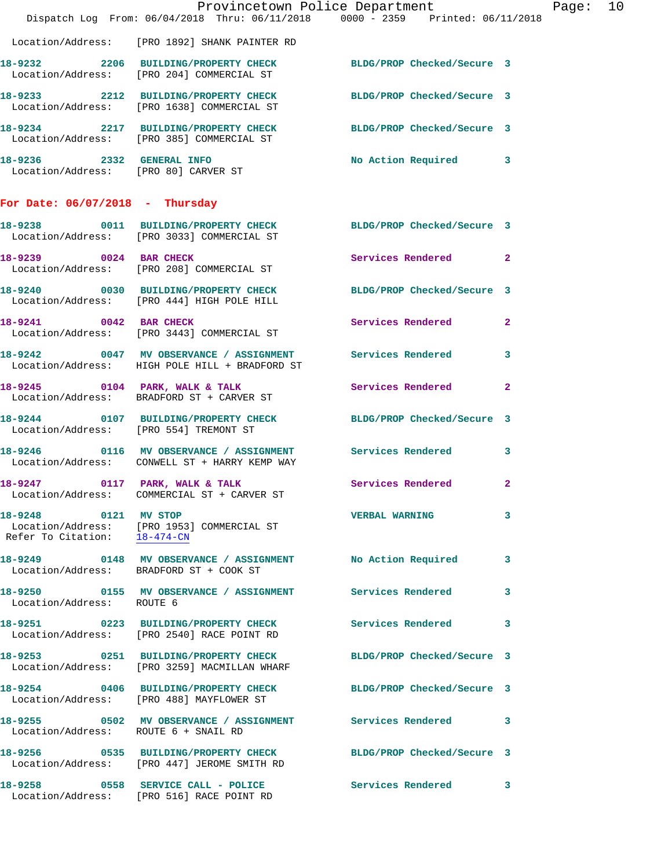|                                                      | Dispatch Log From: 06/04/2018 Thru: 06/11/2018 0000 - 2359 Printed: 06/11/2018                                 | Provincetown Police Department | Page: 10     |
|------------------------------------------------------|----------------------------------------------------------------------------------------------------------------|--------------------------------|--------------|
|                                                      | Location/Address: [PRO 1892] SHANK PAINTER RD                                                                  |                                |              |
|                                                      | 18-9232 2206 BUILDING/PROPERTY CHECK BLDG/PROP Checked/Secure 3<br>Location/Address: [PRO 204] COMMERCIAL ST   |                                |              |
|                                                      | 18-9233 2212 BUILDING/PROPERTY CHECK<br>Location/Address: [PRO 1638] COMMERCIAL ST                             | BLDG/PROP Checked/Secure 3     |              |
|                                                      | 18-9234 2217 BUILDING/PROPERTY CHECK BLDG/PROP Checked/Secure 3<br>Location/Address: [PRO 385] COMMERCIAL ST   |                                |              |
| Location/Address: [PRO 80] CARVER ST                 | 18-9236 2332 GENERAL INFO                                                                                      | No Action Required 3           |              |
| For Date: $06/07/2018$ - Thursday                    |                                                                                                                |                                |              |
|                                                      | 18-9238 0011 BUILDING/PROPERTY CHECK BLDG/PROP Checked/Secure 3<br>Location/Address: [PRO 3033] COMMERCIAL ST  |                                |              |
| 18-9239 0024 BAR CHECK                               | Location/Address: [PRO 208] COMMERCIAL ST                                                                      | Services Rendered 2            |              |
|                                                      | 18-9240 0030 BUILDING/PROPERTY CHECK BLDG/PROP Checked/Secure 3<br>Location/Address: [PRO 444] HIGH POLE HILL  |                                |              |
|                                                      | 18-9241 0042 BAR CHECK<br>Location/Address: [PRO 3443] COMMERCIAL ST                                           | Services Rendered              | $\mathbf{2}$ |
|                                                      | 18-9242 0047 MV OBSERVANCE / ASSIGNMENT Services Rendered 3<br>Location/Address: HIGH POLE HILL + BRADFORD ST  |                                |              |
|                                                      | 18-9245 0104 PARK, WALK & TALK Services Rendered<br>Location/Address: BRADFORD ST + CARVER ST                  |                                | $\mathbf{2}$ |
| Location/Address: [PRO 554] TREMONT ST               | 18-9244 0107 BUILDING/PROPERTY CHECK BLDG/PROP Checked/Secure 3                                                |                                |              |
|                                                      | 18-9246  0116 MV OBSERVANCE / ASSIGNMENT Services Rendered 3<br>Location/Address: CONWELL ST + HARRY KEMP WAY  |                                |              |
| 18-9247                                              | 0117 PARK, WALK & TALK<br>Location/Address: COMMERCIAL ST + CARVER ST                                          | Services Rendered 2            |              |
| 18-9248 0121 MV STOP<br>Refer To Citation: 18-474-CN | Location/Address: [PRO 1953] COMMERCIAL ST                                                                     | <b>VERBAL WARNING</b>          | 3            |
|                                                      | 18-9249 0148 MV OBSERVANCE / ASSIGNMENT No Action Required 3<br>Location/Address: BRADFORD ST + COOK ST        |                                |              |
| Location/Address: ROUTE 6                            |                                                                                                                |                                | 3            |
|                                                      | 18-9251 0223 BUILDING/PROPERTY CHECK Services Rendered 3<br>Location/Address: [PRO 2540] RACE POINT RD         |                                |              |
|                                                      | 18-9253 0251 BUILDING/PROPERTY CHECK<br>Location/Address: [PRO 3259] MACMILLAN WHARF                           | BLDG/PROP Checked/Secure 3     |              |
|                                                      | 18-9254 0406 BUILDING/PROPERTY CHECK BLDG/PROP Checked/Secure 3<br>Location/Address: [PRO 488] MAYFLOWER ST    |                                |              |
| Location/Address: ROUTE 6 + SNAIL RD                 | 18-9255 0502 MV OBSERVANCE / ASSIGNMENT Services Rendered 3                                                    |                                |              |
|                                                      | 18-9256 0535 BUILDING/PROPERTY CHECK BLDG/PROP Checked/Secure 3<br>Location/Address: [PRO 447] JEROME SMITH RD |                                |              |
|                                                      | 18-9258 		 0558 SERVICE CALL - POLICE 		 Services Rendered 3<br>Location/Address: [PRO 516] RACE POINT RD      |                                |              |
|                                                      |                                                                                                                |                                |              |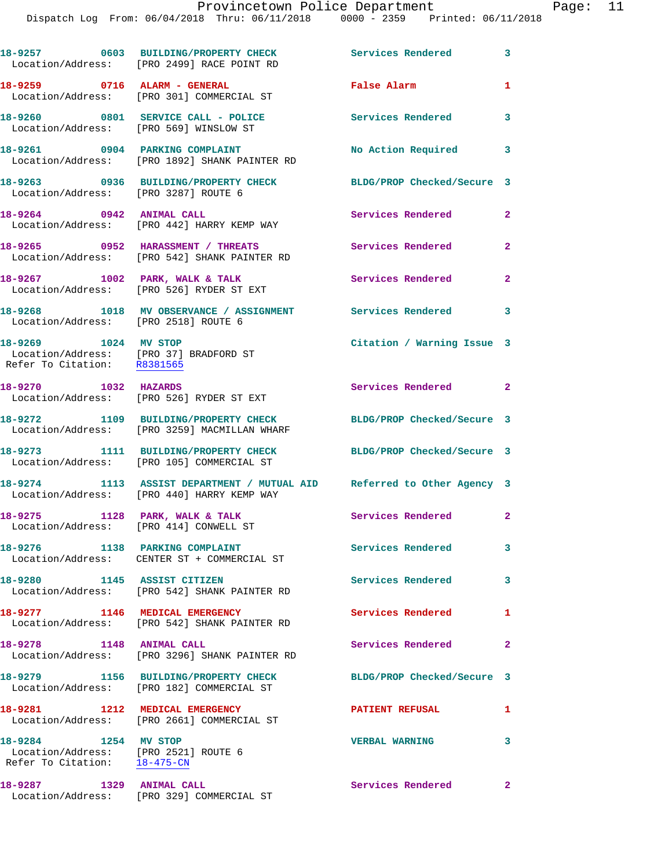|                                                                                                           | 18-9257 0603 BUILDING/PROPERTY CHECK<br>Location/Address: [PRO 2499] RACE POINT RD                                   | <b>Services Rendered</b>   | $\overline{\phantom{a}}$ 3 |
|-----------------------------------------------------------------------------------------------------------|----------------------------------------------------------------------------------------------------------------------|----------------------------|----------------------------|
| 18-9259 0716 ALARM - GENERAL                                                                              | Location/Address: [PRO 301] COMMERCIAL ST                                                                            | False Alarm                | $\mathbf{1}$               |
| Location/Address: [PRO 569] WINSLOW ST                                                                    | 18-9260 0801 SERVICE CALL - POLICE                                                                                   | Services Rendered          | 3                          |
|                                                                                                           | 18-9261 0904 PARKING COMPLAINT<br>Location/Address: [PRO 1892] SHANK PAINTER RD                                      | No Action Required 3       |                            |
| Location/Address: [PRO 3287] ROUTE 6                                                                      | 18-9263 0936 BUILDING/PROPERTY CHECK                                                                                 | BLDG/PROP Checked/Secure 3 |                            |
| 18-9264 0942 ANIMAL CALL                                                                                  | Location/Address: [PRO 442] HARRY KEMP WAY                                                                           | Services Rendered          | $\mathbf{2}$               |
|                                                                                                           | 18-9265 0952 HARASSMENT / THREATS<br>Location/Address: [PRO 542] SHANK PAINTER RD                                    | <b>Services Rendered</b>   | $\mathbf{2}$               |
| $18-9267$ 1002 PARK, WALK & TALK                                                                          | Location/Address: [PRO 526] RYDER ST EXT                                                                             | Services Rendered          | $\mathbf{2}$               |
|                                                                                                           | 18-9268 1018 MV OBSERVANCE / ASSIGNMENT Services Rendered<br>Location/Address: [PRO 2518] ROUTE 6                    |                            | $\overline{\mathbf{3}}$    |
| 18-9269 1024 MV STOP<br>Location/Address: [PRO 37] BRADFORD ST<br>Refer To Citation: R8381565             |                                                                                                                      | Citation / Warning Issue 3 |                            |
| 18-9270 1032 HAZARDS                                                                                      | Location/Address: [PRO 526] RYDER ST EXT                                                                             | Services Rendered 2        |                            |
|                                                                                                           | 18-9272 1109 BUILDING/PROPERTY CHECK<br>Location/Address: [PRO 3259] MACMILLAN WHARF                                 | BLDG/PROP Checked/Secure 3 |                            |
|                                                                                                           | 18-9273 1111 BUILDING/PROPERTY CHECK<br>Location/Address: [PRO 105] COMMERCIAL ST                                    | BLDG/PROP Checked/Secure 3 |                            |
|                                                                                                           | 18-9274 1113 ASSIST DEPARTMENT / MUTUAL AID Referred to Other Agency 3<br>Location/Address: [PRO 440] HARRY KEMP WAY |                            |                            |
| 18-9275                                                                                                   | 1128 PARK, WALK & TALK<br>Location/Address: [PRO 414] CONWELL ST                                                     | Services Rendered 2        |                            |
|                                                                                                           | 18-9276 1138 PARKING COMPLAINT<br>Location/Address: CENTER ST + COMMERCIAL ST                                        | <b>Services Rendered</b>   | $\mathbf{3}$               |
| 18-9280 1145 ASSIST CITIZEN                                                                               | Location/Address: [PRO 542] SHANK PAINTER RD                                                                         | <b>Services Rendered</b>   | 3                          |
| 18-9277 1146 MEDICAL EMERGENCY                                                                            | Location/Address: [PRO 542] SHANK PAINTER RD                                                                         | Services Rendered          | 1                          |
| 18-9278 1148 ANIMAL CALL                                                                                  | Location/Address: [PRO 3296] SHANK PAINTER RD                                                                        | Services Rendered          | $\mathbf{2}$               |
|                                                                                                           | 18-9279 1156 BUILDING/PROPERTY CHECK<br>Location/Address: [PRO 182] COMMERCIAL ST                                    | BLDG/PROP Checked/Secure 3 |                            |
|                                                                                                           | 18-9281 1212 MEDICAL EMERGENCY<br>Location/Address: [PRO 2661] COMMERCIAL ST                                         | <b>PATIENT REFUSAL</b>     | 1                          |
| 18-9284 1254 MV STOP<br>Location/Address: [PRO 2521] ROUTE 6<br>Refer To Citation: $\frac{18-475-CN}{28}$ |                                                                                                                      | <b>VERBAL WARNING</b>      | 3                          |
| 18-9287 1329 ANIMAL CALL                                                                                  | Location/Address: [PRO 329] COMMERCIAL ST                                                                            | Services Rendered 2        |                            |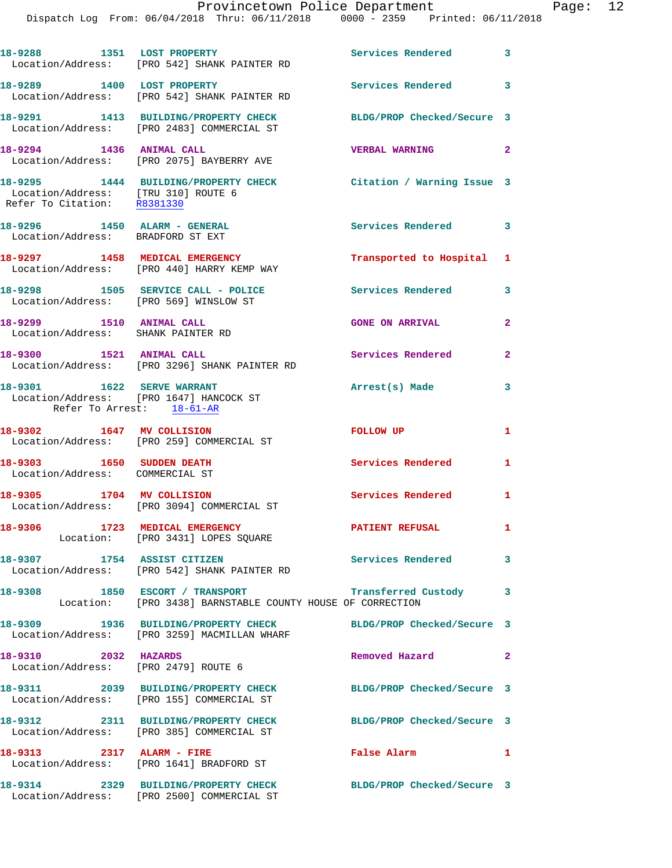Dispatch Log From: 06/04/2018 Thru: 06/11/2018 0000 - 2359 Printed: 06/11/2018

|                                                                    | 18-9288 1351 LOST PROPERTY<br>Location/Address: [PRO 542] SHANK PAINTER RD                                                   | Services Rendered 3        |              |
|--------------------------------------------------------------------|------------------------------------------------------------------------------------------------------------------------------|----------------------------|--------------|
| 18-9289 1400 LOST PROPERTY                                         | Location/Address: [PRO 542] SHANK PAINTER RD                                                                                 | <b>Services Rendered</b> 3 |              |
|                                                                    | 18-9291 1413 BUILDING/PROPERTY CHECK<br>Location/Address: [PRO 2483] COMMERCIAL ST                                           | BLDG/PROP Checked/Secure 3 |              |
| 18-9294 1436 ANIMAL CALL                                           | Location/Address: [PRO 2075] BAYBERRY AVE                                                                                    | <b>VERBAL WARNING</b>      | $\mathbf{2}$ |
| Location/Address: [TRU 310] ROUTE 6<br>Refer To Citation: R8381330 | 18-9295 1444 BUILDING/PROPERTY CHECK Citation / Warning Issue 3                                                              |                            |              |
| 18-9296 1450 ALARM - GENERAL<br>Location/Address: BRADFORD ST EXT  |                                                                                                                              | Services Rendered 3        |              |
| 18-9297 1458 MEDICAL EMERGENCY                                     | Location/Address: [PRO 440] HARRY KEMP WAY                                                                                   | Transported to Hospital 1  |              |
| Location/Address: [PRO 569] WINSLOW ST                             | 18-9298 1505 SERVICE CALL - POLICE                                                                                           | Services Rendered 3        |              |
| 18-9299 1510 ANIMAL CALL<br>Location/Address: SHANK PAINTER RD     |                                                                                                                              | <b>GONE ON ARRIVAL</b>     | $\mathbf{2}$ |
| 18-9300 1521 ANIMAL CALL                                           | Location/Address: [PRO 3296] SHANK PAINTER RD                                                                                | <b>Services Rendered</b>   | $\mathbf{2}$ |
| 18-9301 1622 SERVE WARRANT<br>Refer To Arrest: 18-61-AR            | Location/Address: [PRO 1647] HANCOCK ST                                                                                      | Arrest(s) Made             | 3            |
| 18-9302 1647 MV COLLISION                                          | Location/Address: [PRO 259] COMMERCIAL ST                                                                                    | <b>FOLLOW UP</b>           | $\mathbf{1}$ |
| 18-9303 1650 SUDDEN DEATH<br>Location/Address: COMMERCIAL ST       |                                                                                                                              | <b>Services Rendered</b>   | 1            |
| 18-9305 1704 MV COLLISION                                          | Location/Address: [PRO 3094] COMMERCIAL ST                                                                                   | <b>Services Rendered</b>   | $\mathbf{1}$ |
|                                                                    | 18-9306 1723 MEDICAL EMERGENCY<br>Location: [PRO 3431] LOPES SQUARE                                                          | <b>PATIENT REFUSAL</b>     | $\mathbf{1}$ |
| 18-9307 1754 ASSIST CITIZEN                                        | Location/Address: [PRO 542] SHANK PAINTER RD                                                                                 | Services Rendered 3        |              |
|                                                                    | 18-9308 1850 ESCORT / TRANSPORT <b>Example 18-9308</b> 18-9308<br>Location: [PRO 3438] BARNSTABLE COUNTY HOUSE OF CORRECTION |                            |              |
|                                                                    | 18-9309 1936 BUILDING/PROPERTY CHECK BLDG/PROP Checked/Secure 3<br>Location/Address: [PRO 3259] MACMILLAN WHARF              |                            |              |
| 18-9310 2032 HAZARDS<br>Location/Address: [PRO 2479] ROUTE 6       |                                                                                                                              | Removed Hazard 2           |              |
|                                                                    | 18-9311 2039 BUILDING/PROPERTY CHECK BLDG/PROP Checked/Secure 3<br>Location/Address: [PRO 155] COMMERCIAL ST                 |                            |              |
|                                                                    | 18-9312 2311 BUILDING/PROPERTY CHECK<br>Location/Address: [PRO 385] COMMERCIAL ST                                            | BLDG/PROP Checked/Secure 3 |              |
| 18-9313 2317 ALARM - FIRE                                          | Location/Address: [PRO 1641] BRADFORD ST                                                                                     | False Alarm                | $\mathbf{1}$ |
|                                                                    | 18-9314 2329 BUILDING/PROPERTY CHECK BLDG/PROP Checked/Secure 3                                                              |                            |              |

Location/Address: [PRO 2500] COMMERCIAL ST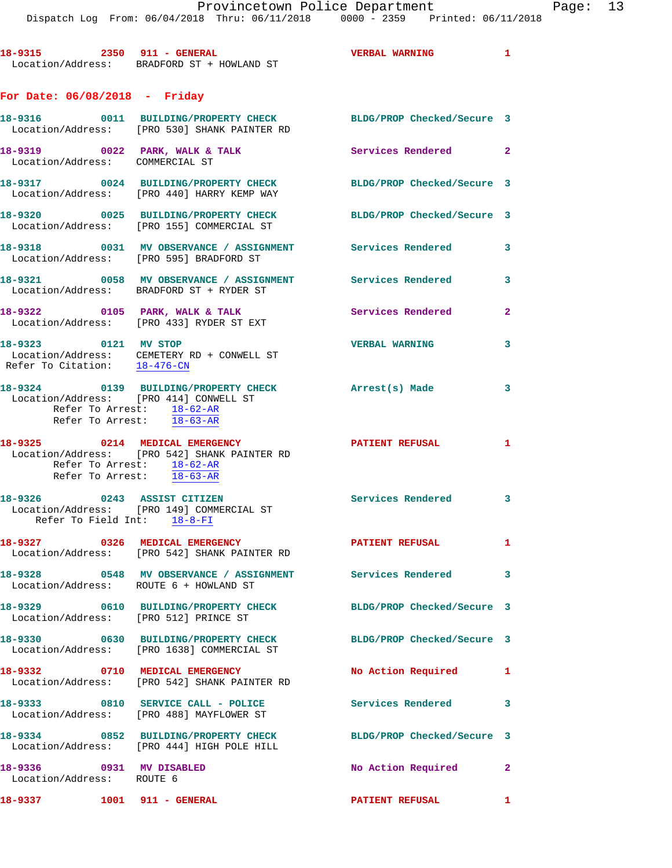18-9315 2350 911 - GENERAL **18-9315 2350 911 - GENERAL**  Location/Address: BRADFORD ST + HOWLAND ST **For Date: 06/08/2018 - Friday 18-9316 0011 BUILDING/PROPERTY CHECK BLDG/PROP Checked/Secure 3**  Location/Address: [PRO 530] SHANK PAINTER RD 18-9319 0022 PARK, WALK & TALK Services Rendered 2 Location/Address: COMMERCIAL ST **18-9317 0024 BUILDING/PROPERTY CHECK BLDG/PROP Checked/Secure 3**  Location/Address: [PRO 440] HARRY KEMP WAY **18-9320 0025 BUILDING/PROPERTY CHECK BLDG/PROP Checked/Secure 3**  Location/Address: [PRO 155] COMMERCIAL ST **18-9318 0031 MV OBSERVANCE / ASSIGNMENT Services Rendered 3**  Location/Address: [PRO 595] BRADFORD ST **18-9321 0058 MV OBSERVANCE / ASSIGNMENT Services Rendered 3**  Location/Address: BRADFORD ST + RYDER ST **18-9322 0105 PARK, WALK & TALK Services Rendered 2**  Location/Address: [PRO 433] RYDER ST EXT **18-9323 0121 MV STOP VERBAL WARNING 3**  Location/Address: CEMETERY RD + CONWELL ST Refer To Citation: 18-476-CN **18-9324 0139 BUILDING/PROPERTY CHECK Arrest(s) Made 3**  Location/Address: [PRO 414] CONWELL ST Refer To Arrest: 18-62-AR Refer To Arrest: 18-63-AR **18-9325 0214 MEDICAL EMERGENCY PATIENT REFUSAL 1**  Location/Address: [PRO 542] SHANK PAINTER RD Refer To Arrest: 18-62-AR Refer To Arrest: 18-63-AR **18-9326 0243 ASSIST CITIZEN Services Rendered 3**  Location/Address: [PRO 149] COMMERCIAL ST Refer To Field Int: 18-8-FI **18-9327 0326 MEDICAL EMERGENCY PATIENT REFUSAL 1**  Location/Address: [PRO 542] SHANK PAINTER RD **18-9328 0548 MV OBSERVANCE / ASSIGNMENT Services Rendered 3**  Location/Address: ROUTE 6 + HOWLAND ST **18-9329 0610 BUILDING/PROPERTY CHECK BLDG/PROP Checked/Secure 3**  Location/Address: [PRO 512] PRINCE ST **18-9330 0630 BUILDING/PROPERTY CHECK BLDG/PROP Checked/Secure 3**  Location/Address: [PRO 1638] COMMERCIAL ST 18-9332 0710 MEDICAL EMERGENCY No Action Required 1 Location/Address: [PRO 542] SHANK PAINTER RD **18-9333 0810 SERVICE CALL - POLICE Services Rendered 3**  Location/Address: [PRO 488] MAYFLOWER ST **18-9334 0852 BUILDING/PROPERTY CHECK BLDG/PROP Checked/Secure 3**  Location/Address: [PRO 444] HIGH POLE HILL **18-9336 0931 MV DISABLED No Action Required 2**  Location/Address: ROUTE 6

**18-9337 1001 911 - GENERAL PATIENT REFUSAL 1**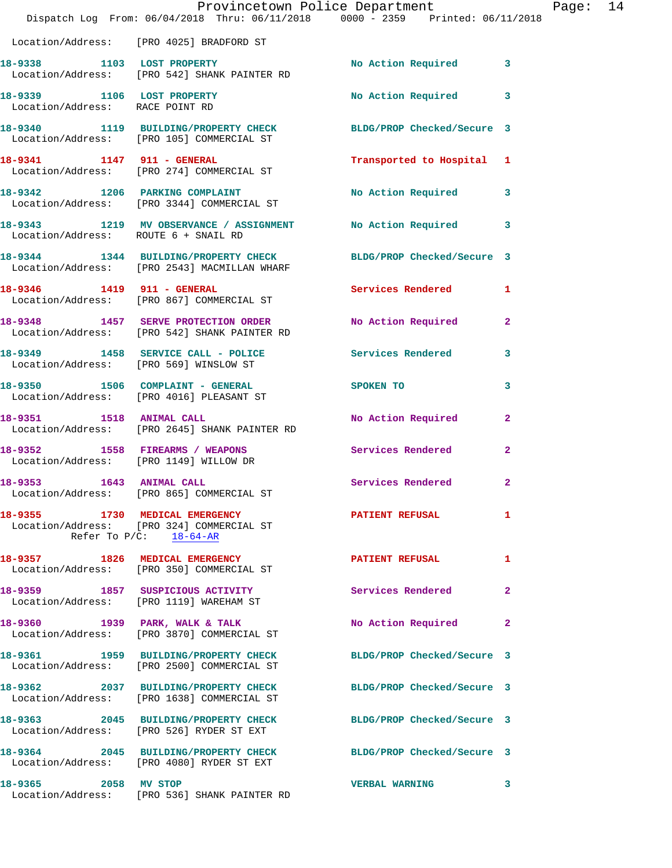|                                 | Dispatch Log From: 06/04/2018 Thru: 06/11/2018 0000 - 2359 Printed: 06/11/2018                                             | Provincetown Police Department |              | Page: 14 |  |
|---------------------------------|----------------------------------------------------------------------------------------------------------------------------|--------------------------------|--------------|----------|--|
|                                 | Location/Address: [PRO 4025] BRADFORD ST                                                                                   |                                |              |          |  |
|                                 | 18-9338 1103 LOST PROPERTY<br>Location/Address: [PRO 542] SHANK PAINTER RD                                                 | No Action Required 3           |              |          |  |
| Location/Address: RACE POINT RD | 18-9339 1106 LOST PROPERTY                                                                                                 | No Action Required 3           |              |          |  |
|                                 | 18-9340 1119 BUILDING/PROPERTY CHECK BLDG/PROP Checked/Secure 3<br>Location/Address: [PRO 105] COMMERCIAL ST               |                                |              |          |  |
|                                 | 18-9341 1147 911 - GENERAL<br>Location/Address: [PRO 274] COMMERCIAL ST                                                    | Transported to Hospital 1      |              |          |  |
|                                 | 18-9342 1206 PARKING COMPLAINT<br>Location/Address: [PRO 3344] COMMERCIAL ST                                               | No Action Required 3           |              |          |  |
|                                 | 18-9343 1219 MV OBSERVANCE / ASSIGNMENT No Action Required 3<br>Location/Address: ROUTE 6 + SNAIL RD                       |                                |              |          |  |
|                                 | 18-9344 1344 BUILDING/PROPERTY CHECK BLDG/PROP Checked/Secure 3<br>Location/Address: [PRO 2543] MACMILLAN WHARF            |                                |              |          |  |
|                                 | 18-9346 1419 911 - GENERAL<br>Location/Address: [PRO 867] COMMERCIAL ST                                                    | Services Rendered 1            |              |          |  |
|                                 | 18-9348 1457 SERVE PROTECTION ORDER<br>Location/Address: [PRO 542] SHANK PAINTER RD                                        | No Action Required             | $\mathbf{2}$ |          |  |
|                                 | 18-9349 1458 SERVICE CALL - POLICE Services Rendered 3<br>Location/Address: [PRO 569] WINSLOW ST                           |                                |              |          |  |
|                                 | 18-9350 1506 COMPLAINT - GENERAL<br>Location/Address: [PRO 4016] PLEASANT ST                                               | SPOKEN TO                      | 3            |          |  |
|                                 | 18-9351 1518 ANIMAL CALL<br>Location/Address: [PRO 2645] SHANK PAINTER RD                                                  | No Action Required 2           |              |          |  |
|                                 | 18-9352 1558 FIREARMS / WEAPONS<br>Location/Address: [PRO 1149] WILLOW DR                                                  | Services Rendered              | $\mathbf{2}$ |          |  |
| 1643 ANIMAL CALL<br>18-9353     | Location/Address: [PRO 865] COMMERCIAL ST                                                                                  | Services Rendered              | $\mathbf{2}$ |          |  |
|                                 | 18-9355 1730 MEDICAL EMERGENCY PATIENT REFUSAL<br>Location/Address: [PRO 324] COMMERCIAL ST<br>Refer To $P/C$ : $18-64-AR$ |                                | 1            |          |  |
|                                 | 18-9357 1826 MEDICAL EMERGENCY<br>Location/Address: [PRO 350] COMMERCIAL ST                                                | <b>PATIENT REFUSAL</b>         | $\mathbf{1}$ |          |  |
|                                 | 18-9359 1857 SUSPICIOUS ACTIVITY<br>Location/Address: [PRO 1119] WAREHAM ST                                                | Services Rendered              | $\mathbf{2}$ |          |  |
|                                 | 18-9360 1939 PARK, WALK & TALK<br>Location/Address: [PRO 3870] COMMERCIAL ST                                               | No Action Required 2           |              |          |  |
|                                 | 18-9361 1959 BUILDING/PROPERTY CHECK<br>Location/Address: [PRO 2500] COMMERCIAL ST                                         | BLDG/PROP Checked/Secure 3     |              |          |  |
|                                 | 18-9362 2037 BUILDING/PROPERTY CHECK<br>Location/Address: [PRO 1638] COMMERCIAL ST                                         | BLDG/PROP Checked/Secure 3     |              |          |  |
|                                 | 18-9363 2045 BUILDING/PROPERTY CHECK<br>Location/Address: [PRO 526] RYDER ST EXT                                           | BLDG/PROP Checked/Secure 3     |              |          |  |
|                                 | 18-9364 2045 BUILDING/PROPERTY CHECK BLDG/PROP Checked/Secure 3<br>Location/Address: [PRO 4080] RYDER ST EXT               |                                |              |          |  |
| 18-9365 2058 MV STOP            | Location/Address: [PRO 536] SHANK PAINTER RD                                                                               | <b>VERBAL WARNING</b>          | 3            |          |  |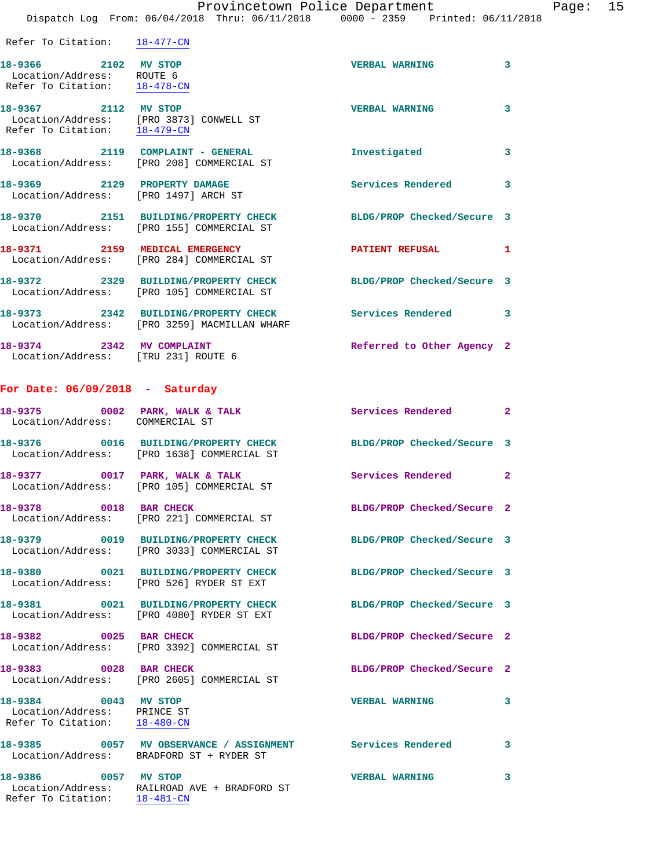Dispatch Log From: 06/04/2018 Thru: 06/11/2018 0000 - 2359 Printed: 06/11/2018

| Refer To Citation: | $18 - 477 - CN$ |
|--------------------|-----------------|
|--------------------|-----------------|

| 18-9366 2102 MV STOP<br>Location/Address: ROUTE 6<br>Refer To Citation: 18-478-CN |                                                                                                        | <b>VERBAL WARNING</b>      | $\mathbf{3}$ |
|-----------------------------------------------------------------------------------|--------------------------------------------------------------------------------------------------------|----------------------------|--------------|
| 18-9367 2112 MV STOP<br>Refer To Citation: 18-479-CN                              | Location/Address: [PRO 3873] CONWELL ST                                                                | <b>VERBAL WARNING</b>      | 3            |
|                                                                                   | 18-9368 2119 COMPLAINT - GENERAL<br>Location/Address: [PRO 208] COMMERCIAL ST                          | Investigated               | $\mathbf{3}$ |
| 18-9369 2129 PROPERTY DAMAGE<br>Location/Address: [PRO 1497] ARCH ST              |                                                                                                        | <b>Services Rendered</b>   | $\mathbf{3}$ |
|                                                                                   | 18-9370   2151 BUILDING/PROPERTY CHECK<br>Location/Address: [PRO 155] COMMERCIAL ST                    | BLDG/PROP Checked/Secure 3 |              |
|                                                                                   | 18-9371 2159 MEDICAL EMERGENCY<br>Location/Address: [PRO 284] COMMERCIAL ST                            | <b>PATIENT REFUSAL</b>     | $\mathbf{1}$ |
|                                                                                   | 18-9372 2329 BUILDING/PROPERTY CHECK<br>Location/Address: [PRO 105] COMMERCIAL ST                      | BLDG/PROP Checked/Secure 3 |              |
|                                                                                   | 18-9373 2342 BUILDING/PROPERTY CHECK Services Rendered<br>Location/Address: [PRO 3259] MACMILLAN WHARF |                            | 3            |
| 18-9374 2342 MV COMPLAINT                                                         |                                                                                                        | Referred to Other Agency 2 |              |

Location/Address: [TRU 231] ROUTE 6

## **For Date: 06/09/2018 - Saturday**

Refer To Citation: 18-481-CN

| 18-9375 0002 PARK, WALK & TALK<br>Location/Address: COMMERCIAL ST                   |                                                                                    | <b>Services Rendered 22 Services 2</b>                           |              |
|-------------------------------------------------------------------------------------|------------------------------------------------------------------------------------|------------------------------------------------------------------|--------------|
|                                                                                     | Location/Address: [PRO 1638] COMMERCIAL ST                                         | 18-9376  0016 BUILDING/PROPERTY CHECK BLDG/PROP Checked/Secure 3 |              |
|                                                                                     | 18-9377 0017 PARK, WALK & TALK<br>Location/Address: [PRO 105] COMMERCIAL ST        | Services Rendered 2                                              |              |
| 18-9378 0018 BAR CHECK                                                              | Location/Address: [PRO 221] COMMERCIAL ST                                          | BLDG/PROP Checked/Secure 2                                       |              |
|                                                                                     | 18-9379 0019 BUILDING/PROPERTY CHECK<br>Location/Address: [PRO 3033] COMMERCIAL ST | BLDG/PROP Checked/Secure 3                                       |              |
|                                                                                     | 18-9380 0021 BUILDING/PROPERTY CHECK<br>Location/Address: [PRO 526] RYDER ST EXT   | BLDG/PROP Checked/Secure 3                                       |              |
|                                                                                     | Location/Address: [PRO 4080] RYDER ST EXT                                          | 18-9381 0021 BUILDING/PROPERTY CHECK BLDG/PROP Checked/Secure 3  |              |
| 18-9382 0025 BAR CHECK                                                              | Location/Address: [PRO 3392] COMMERCIAL ST                                         | BLDG/PROP Checked/Secure 2                                       |              |
| 18-9383 0028 BAR CHECK                                                              | Location/Address: [PRO 2605] COMMERCIAL ST                                         | BLDG/PROP Checked/Secure 2                                       |              |
| 18-9384 0043 MV STOP<br>Location/Address: PRINCE ST<br>Refer To Citation: 18-480-CN |                                                                                    | <b>VERBAL WARNING</b>                                            | $\mathbf{3}$ |
|                                                                                     | Location/Address: BRADFORD ST + RYDER ST                                           | 18-9385 60057 MV OBSERVANCE / ASSIGNMENT Services Rendered       | 3            |
| 18-9386 0057 MV STOP                                                                | Location/Address: RAILROAD AVE + BRADFORD ST                                       | <b>VERBAL WARNING</b>                                            | 3            |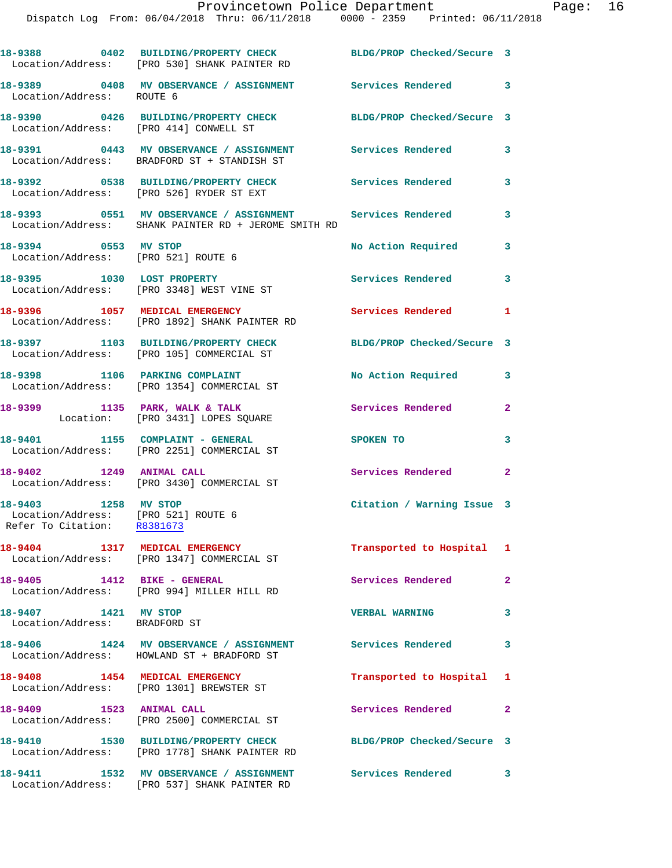|                                                                                            | 18-9388 0402 BUILDING/PROPERTY CHECK BLDG/PROP Checked/Secure 3<br>Location/Address: [PRO 530] SHANK PAINTER RD   |                            |                         |
|--------------------------------------------------------------------------------------------|-------------------------------------------------------------------------------------------------------------------|----------------------------|-------------------------|
|                                                                                            | 18-9389   0408   MV   OBSERVANCE / ASSIGNMENT   Services Rendered   3<br>Location/Address:   ROUTE   6            |                            |                         |
| Location/Address: [PRO 414] CONWELL ST                                                     | 18-9390 0426 BUILDING/PROPERTY CHECK BLDG/PROP Checked/Secure 3                                                   |                            |                         |
|                                                                                            | 18-9391 0443 MV OBSERVANCE / ASSIGNMENT<br>Location/Address: BRADFORD ST + STANDISH ST                            | Services Rendered          | 3                       |
|                                                                                            | 18-9392 0538 BUILDING/PROPERTY CHECK<br>Location/Address: [PRO 526] RYDER ST EXT                                  | <b>Services Rendered</b>   | 3                       |
|                                                                                            | 18-9393 0551 MV OBSERVANCE / ASSIGNMENT Services Rendered<br>Location/Address: SHANK PAINTER RD + JEROME SMITH RD |                            | $\overline{\mathbf{3}}$ |
| 18-9394 0553 MV STOP                                                                       | Location/Address: [PRO 521] ROUTE 6                                                                               | No Action Required         | 3                       |
|                                                                                            | 18-9395 1030 LOST PROPERTY<br>Location/Address: [PRO 3348] WEST VINE ST                                           | Services Rendered 3        |                         |
|                                                                                            | 18-9396 1057 MEDICAL EMERGENCY<br>Location/Address: [PRO 1892] SHANK PAINTER RD                                   | <b>Services Rendered</b>   | 1                       |
|                                                                                            | 18-9397 1103 BUILDING/PROPERTY CHECK<br>Location/Address: [PRO 105] COMMERCIAL ST                                 | BLDG/PROP Checked/Secure 3 |                         |
|                                                                                            | 18-9398 1106 PARKING COMPLAINT<br>Location/Address: [PRO 1354] COMMERCIAL ST                                      | No Action Required         | 3                       |
|                                                                                            | 18-9399 1135 PARK, WALK & TALK<br>Location: [PRO 3431] LOPES SQUARE                                               | Services Rendered          | $\mathbf{2}$            |
|                                                                                            | 18-9401 1155 COMPLAINT - GENERAL<br>Location/Address: [PRO 2251] COMMERCIAL ST                                    | SPOKEN TO                  | 3                       |
| 18-9402 1249 ANIMAL CALL                                                                   | Location/Address: [PRO 3430] COMMERCIAL ST                                                                        | Services Rendered 2        |                         |
| 18-9403 1258 MV STOP<br>Location/Address: [PRO 521] ROUTE 6<br>Refer To Citation: R8381673 |                                                                                                                   | Citation / Warning Issue 3 |                         |
|                                                                                            | 18-9404 1317 MEDICAL EMERGENCY<br>Location/Address: [PRO 1347] COMMERCIAL ST                                      | Transported to Hospital 1  |                         |
|                                                                                            | 18-9405 1412 BIKE - GENERAL<br>Location/Address: [PRO 994] MILLER HILL RD                                         | Services Rendered          | $\overline{a}$          |
| 18-9407 1421 MV STOP<br>Location/Address: BRADFORD ST                                      |                                                                                                                   | <b>VERBAL WARNING</b>      | $\overline{\mathbf{3}}$ |
|                                                                                            | 18-9406 1424 MV OBSERVANCE / ASSIGNMENT<br>Location/Address: HOWLAND ST + BRADFORD ST                             | Services Rendered          | 3                       |
|                                                                                            | 18-9408 1454 MEDICAL EMERGENCY<br>Location/Address: [PRO 1301] BREWSTER ST                                        | Transported to Hospital 1  |                         |
| 18-9409 1523 ANIMAL CALL                                                                   | Location/Address: [PRO 2500] COMMERCIAL ST                                                                        | Services Rendered 2        |                         |
|                                                                                            | 18-9410 1530 BUILDING/PROPERTY CHECK<br>Location/Address: [PRO 1778] SHANK PAINTER RD                             | BLDG/PROP Checked/Secure 3 |                         |
| 18-9411                                                                                    | 1532 MV OBSERVANCE / ASSIGNMENT                                                                                   | Services Rendered 3        |                         |

Location/Address: [PRO 537] SHANK PAINTER RD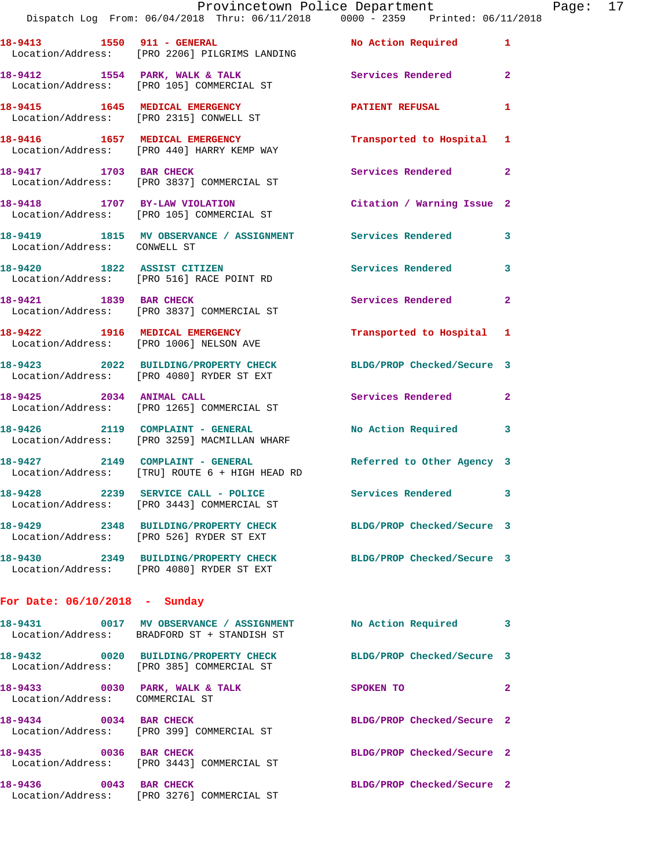|                                 | Provincetown Police Department<br>Dispatch Log From: 06/04/2018 Thru: 06/11/2018 0000 - 2359 Printed: 06/11/2018 |                            |              |
|---------------------------------|------------------------------------------------------------------------------------------------------------------|----------------------------|--------------|
|                                 | 18-9413 1550 911 - GENERAL No Action Required<br>Location/Address: [PRO 2206] PILGRIMS LANDING                   |                            | $\mathbf{1}$ |
|                                 | 18-9412 1554 PARK, WALK & TALK<br>Location/Address: [PRO 105] COMMERCIAL ST                                      | Services Rendered          | $\mathbf{2}$ |
|                                 | 18-9415 1645 MEDICAL EMERGENCY<br>Location/Address: [PRO 2315] CONWELL ST                                        | <b>PATIENT REFUSAL</b>     | 1            |
|                                 | 18-9416 1657 MEDICAL EMERGENCY<br>Location/Address: [PRO 440] HARRY KEMP WAY                                     | Transported to Hospital    | 1            |
|                                 | 18-9417 1703 BAR CHECK<br>Location/Address: [PRO 3837] COMMERCIAL ST                                             | Services Rendered          | $\mathbf{2}$ |
|                                 | 18-9418 1707 BY-LAW VIOLATION<br>Location/Address: [PRO 105] COMMERCIAL ST                                       | Citation / Warning Issue 2 |              |
| Location/Address: CONWELL ST    | 18-9419 1815 MV OBSERVANCE / ASSIGNMENT Services Rendered                                                        |                            | 3            |
|                                 | 18-9420 1822 ASSIST CITIZEN<br>Location/Address: [PRO 516] RACE POINT RD                                         | <b>Services Rendered</b>   | 3            |
|                                 | 18-9421 1839 BAR CHECK<br>Location/Address: [PRO 3837] COMMERCIAL ST                                             | Services Rendered          | $\mathbf{2}$ |
|                                 | 18-9422 1916 MEDICAL EMERGENCY<br>Location/Address: [PRO 1006] NELSON AVE                                        | Transported to Hospital    | 1            |
|                                 | 18-9423 2022 BUILDING/PROPERTY CHECK<br>Location/Address: [PRO 4080] RYDER ST EXT                                | BLDG/PROP Checked/Secure 3 |              |
| 18-9425 2034 ANIMAL CALL        | Location/Address: [PRO 1265] COMMERCIAL ST                                                                       | <b>Services Rendered</b>   | $\mathbf{2}$ |
|                                 | 18-9426 2119 COMPLAINT - GENERAL<br>Location/Address: [PRO 3259] MACMILLAN WHARF                                 | No Action Required         | 3            |
|                                 | 18-9427 2149 COMPLAINT - GENERAL<br>Location/Address: [TRU] ROUTE 6 + HIGH HEAD RD                               | Referred to Other Agency 3 |              |
| 18-9428                         | 2239 SERVICE CALL - POLICE<br>Location/Address: [PRO 3443] COMMERCIAL ST                                         | <b>Services Rendered</b>   | 3            |
|                                 | 18-9429 2348 BUILDING/PROPERTY CHECK<br>Location/Address: [PRO 526] RYDER ST EXT                                 | BLDG/PROP Checked/Secure 3 |              |
|                                 | 18-9430 2349 BUILDING/PROPERTY CHECK<br>Location/Address: [PRO 4080] RYDER ST EXT                                | BLDG/PROP Checked/Secure 3 |              |
| For Date: $06/10/2018$ - Sunday |                                                                                                                  |                            |              |
| 18-9431 2001                    | 0017 MV OBSERVANCE / ASSIGNMENT<br>Location/Address: BRADFORD ST + STANDISH ST                                   | No Action Required         | з            |

|                                      | Location/Address: BRADFORD ST + STANDISH ST               |                            |              |
|--------------------------------------|-----------------------------------------------------------|----------------------------|--------------|
| 0020<br>18-9432<br>Location/Address: | <b>BUILDING/PROPERTY CHECK</b><br>[PRO 385] COMMERCIAL ST | BLDG/PROP Checked/Secure 3 |              |
| 18-9433<br>0030<br>Location/Address: | PARK, WALK & TALK<br>COMMERCIAL ST                        | SPOKEN TO                  | $\mathbf{2}$ |
| 18-9434<br>0034<br>Location/Address: | <b>BAR CHECK</b><br>[PRO 399] COMMERCIAL ST               | BLDG/PROP Checked/Secure 2 |              |
| 18-9435<br>0036<br>Location/Address: | <b>BAR CHECK</b><br>[PRO 3443] COMMERCIAL ST              | BLDG/PROP Checked/Secure 2 |              |
| 18-9436<br>0043<br>Location/Address: | <b>BAR CHECK</b><br>[PRO 3276] COMMERCIAL ST              | BLDG/PROP Checked/Secure 2 |              |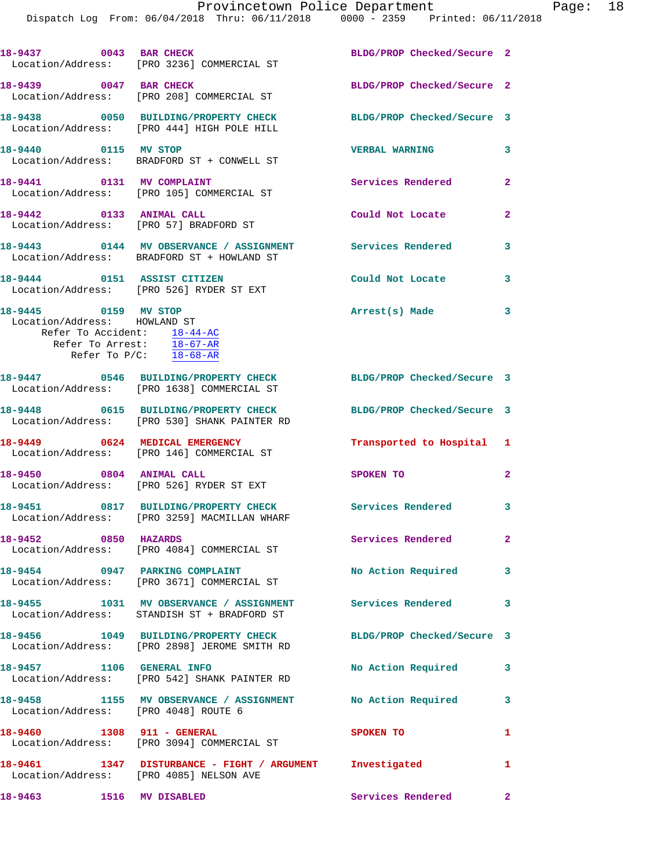Dispatch Log From: 06/04/2018 Thru: 06/11/2018 0000 - 2359 Printed: 06/11/2018

|                                                      | 18-9437 0043 BAR CHECK<br>Location/Address: [PRO 3236] COMMERCIAL ST                                | BLDG/PROP Checked/Secure 2 |                |
|------------------------------------------------------|-----------------------------------------------------------------------------------------------------|----------------------------|----------------|
| 18-9439 0047 BAR CHECK                               | Location/Address: [PRO 208] COMMERCIAL ST                                                           | BLDG/PROP Checked/Secure 2 |                |
|                                                      | 18-9438 0050 BUILDING/PROPERTY CHECK<br>Location/Address: [PRO 444] HIGH POLE HILL                  | BLDG/PROP Checked/Secure 3 |                |
| 18-9440 0115 MV STOP                                 | Location/Address: BRADFORD ST + CONWELL ST                                                          | <b>VERBAL WARNING</b>      | $\mathbf{3}$   |
|                                                      | 18-9441 0131 MV COMPLAINT<br>Location/Address: [PRO 105] COMMERCIAL ST                              | Services Rendered          | $\mathbf{2}$   |
| 18-9442 0133 ANIMAL CALL                             | Location/Address: [PRO 57] BRADFORD ST                                                              | Could Not Locate           | $\overline{2}$ |
|                                                      | 18-9443 0144 MV OBSERVANCE / ASSIGNMENT<br>Location/Address: BRADFORD ST + HOWLAND ST               | Services Rendered          | 3              |
| 18-9444 0151 ASSIST CITIZEN                          | Location/Address: [PRO 526] RYDER ST EXT                                                            | Could Not Locate           | 3              |
| 18-9445 0159 MV STOP<br>Location/Address: HOWLAND ST | Refer To Accident: 18-44-AC<br>Refer To Arrest: 18-67-AR<br>Refer To $P/C$ : $\frac{18-68-AR}{2}$   | Arrest(s) Made             | $\mathbf{3}$   |
|                                                      | 18-9447 0546 BUILDING/PROPERTY CHECK<br>Location/Address: [PRO 1638] COMMERCIAL ST                  | BLDG/PROP Checked/Secure 3 |                |
|                                                      | 18-9448 0615 BUILDING/PROPERTY CHECK<br>Location/Address: [PRO 530] SHANK PAINTER RD                | BLDG/PROP Checked/Secure 3 |                |
|                                                      | 18-9449 0624 MEDICAL EMERGENCY<br>Location/Address: [PRO 146] COMMERCIAL ST                         | Transported to Hospital 1  |                |
| 18-9450 0804 ANIMAL CALL                             | Location/Address: [PRO 526] RYDER ST EXT                                                            | SPOKEN TO                  | $\mathbf{2}$   |
|                                                      | 18-9451 0817 BUILDING/PROPERTY CHECK<br>Location/Address: [PRO 3259] MACMILLAN WHARF                | Services Rendered 3        |                |
| 18-9452 0850 HAZARDS                                 | Location/Address: [PRO 4084] COMMERCIAL ST                                                          | Services Rendered          | $\mathbf{2}$   |
|                                                      | 18-9454 0947 PARKING COMPLAINT<br>Location/Address: [PRO 3671] COMMERCIAL ST                        | No Action Required         | 3              |
|                                                      | Location/Address: STANDISH ST + BRADFORD ST                                                         |                            | 3              |
|                                                      | 18-9456 1049 BUILDING/PROPERTY CHECK<br>Location/Address: [PRO 2898] JEROME SMITH RD                | BLDG/PROP Checked/Secure 3 |                |
| 18-9457 1106 GENERAL INFO                            | Location/Address: [PRO 542] SHANK PAINTER RD                                                        | No Action Required         | 3              |
|                                                      | 18-9458 1155 MV OBSERVANCE / ASSIGNMENT No Action Required<br>Location/Address: [PRO 4048] ROUTE 6  |                            | 3              |
| 18-9460 1308 911 - GENERAL                           | Location/Address: [PRO 3094] COMMERCIAL ST                                                          | SPOKEN TO                  | 1              |
|                                                      | 18-9461 1347 DISTURBANCE - FIGHT / ARGUMENT Investigated<br>Location/Address: [PRO 4085] NELSON AVE |                            | 1              |
| 18-9463 1516 MV DISABLED                             |                                                                                                     | Services Rendered          | $\mathbf{2}$   |
|                                                      |                                                                                                     |                            |                |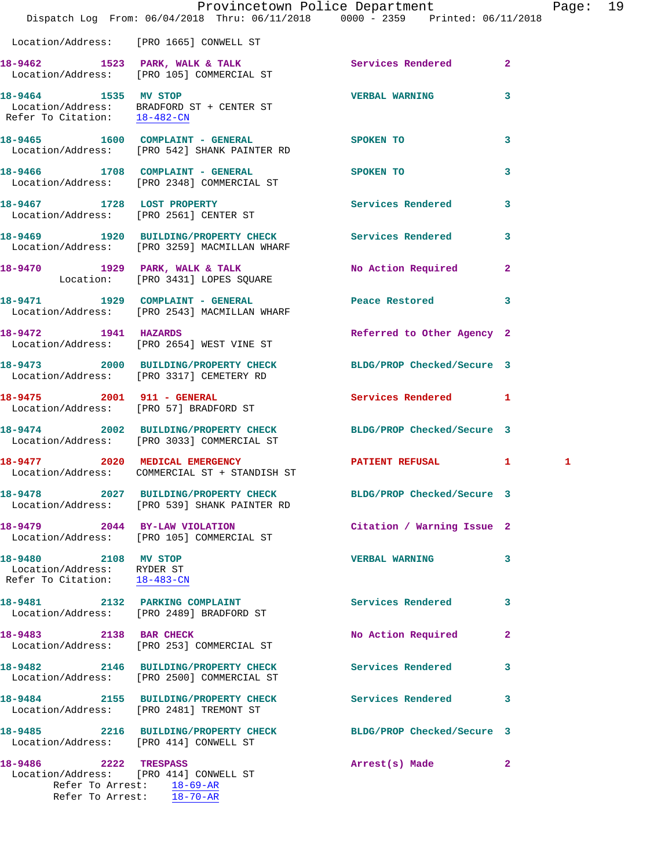|                                                                                    | Dispatch Log From: 06/04/2018 Thru: 06/11/2018 0000 - 2359 Printed: 06/11/2018                                | Provincetown Police Department |              | Page: 19 |  |
|------------------------------------------------------------------------------------|---------------------------------------------------------------------------------------------------------------|--------------------------------|--------------|----------|--|
|                                                                                    | Location/Address: [PRO 1665] CONWELL ST                                                                       |                                |              |          |  |
|                                                                                    | 18-9462 1523 PARK, WALK & TALK 1999 Services Rendered 2<br>Location/Address: [PRO 105] COMMERCIAL ST          |                                |              |          |  |
|                                                                                    | 18-9464 1535 MV STOP<br>Location/Address: BRADFORD ST + CENTER ST<br>Refer To Citation: 18-482-CN             | <b>VERBAL WARNING</b> 3        |              |          |  |
|                                                                                    | 18-9465 1600 COMPLAINT - GENERAL<br>Location/Address: [PRO 542] SHANK PAINTER RD                              | SPOKEN TO                      | 3            |          |  |
|                                                                                    | 18-9466 1708 COMPLAINT - GENERAL SPOKEN TO<br>Location/Address: [PRO 2348] COMMERCIAL ST                      |                                | 3            |          |  |
|                                                                                    | 18-9467 1728 LOST PROPERTY<br>Location/Address: [PRO 2561] CENTER ST                                          | Services Rendered 3            |              |          |  |
|                                                                                    | 18-9469 1920 BUILDING/PROPERTY CHECK Services Rendered 3<br>Location/Address: [PRO 3259] MACMILLAN WHARF      |                                |              |          |  |
|                                                                                    | 18-9470 1929 PARK, WALK & TALK<br>Location: [PRO 3431] LOPES SQUARE                                           | No Action Required 2           |              |          |  |
|                                                                                    | 18-9471 1929 COMPLAINT - GENERAL Peace Restored 3<br>Location/Address: [PRO 2543] MACMILLAN WHARF             |                                |              |          |  |
| 18-9472 1941 HAZARDS                                                               | Location/Address: [PRO 2654] WEST VINE ST                                                                     | Referred to Other Agency 2     |              |          |  |
|                                                                                    | 18-9473 2000 BUILDING/PROPERTY CHECK BLDG/PROP Checked/Secure 3<br>Location/Address: [PRO 3317] CEMETERY RD   |                                |              |          |  |
|                                                                                    | 18-9475 2001 911 - GENERAL<br>Location/Address: [PRO 57] BRADFORD ST                                          | Services Rendered 1            |              |          |  |
|                                                                                    | 18-9474 2002 BUILDING/PROPERTY CHECK BLDG/PROP Checked/Secure 3<br>Location/Address: [PRO 3033] COMMERCIAL ST |                                |              |          |  |
|                                                                                    | 18-9477 2020 MEDICAL EMERGENCY<br>Location/Address: COMMERCIAL ST + STANDISH ST                               | <b>PATIENT REFUSAL 1</b>       |              | 1        |  |
|                                                                                    | 18-9478 2027 BUILDING/PROPERTY CHECK<br>Location/Address: [PRO 539] SHANK PAINTER RD                          | BLDG/PROP Checked/Secure 3     |              |          |  |
|                                                                                    | 18-9479 2044 BY-LAW VIOLATION<br>Location/Address: [PRO 105] COMMERCIAL ST                                    | Citation / Warning Issue 2     |              |          |  |
| 18-9480 2108 MV STOP<br>Location/Address: RYDER ST<br>Refer To Citation: 18-483-CN |                                                                                                               | <b>VERBAL WARNING</b>          | 3            |          |  |
|                                                                                    | 18-9481 2132 PARKING COMPLAINT<br>Location/Address: [PRO 2489] BRADFORD ST                                    | Services Rendered 3            |              |          |  |
|                                                                                    | 18-9483 2138 BAR CHECK<br>Location/Address: [PRO 253] COMMERCIAL ST                                           | No Action Required             | 2            |          |  |
|                                                                                    | 18-9482 2146 BUILDING/PROPERTY CHECK Services Rendered<br>Location/Address: [PRO 2500] COMMERCIAL ST          |                                | 3            |          |  |
|                                                                                    | 18-9484 2155 BUILDING/PROPERTY CHECK<br>Location/Address: [PRO 2481] TREMONT ST                               | <b>Services Rendered</b>       | 3            |          |  |
| Location/Address: [PRO 414] CONWELL ST                                             | 18-9485 2216 BUILDING/PROPERTY CHECK BLDG/PROP Checked/Secure 3                                               |                                |              |          |  |
| 18-9486 2222 TRESPASS                                                              | Location/Address: [PRO 414] CONWELL ST<br>Refer To Arrest: 18-69-AR                                           | Arrest(s) Made                 | $\mathbf{2}$ |          |  |

Refer To Arrest: 18-70-AR